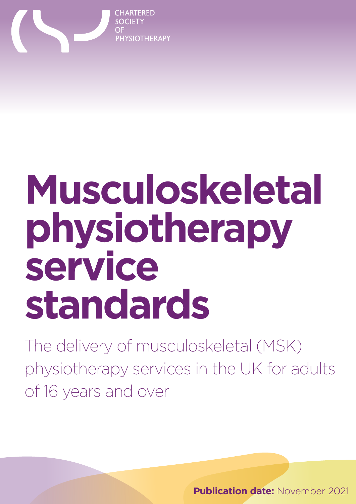

# **Musculoskeletal physiotherapy service standards**

The delivery of musculoskeletal (MSK) physiotherapy services in the UK for adults of 16 years and over

**Publication date: November 2021**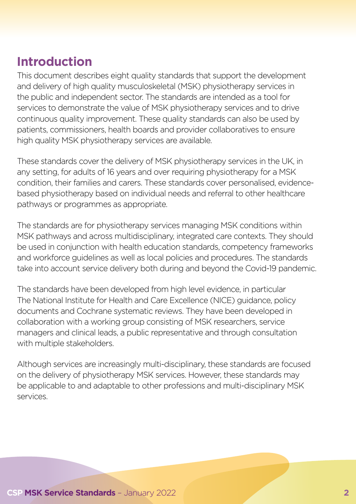#### **Introduction**

This document describes eight quality standards that support the development and delivery of high quality musculoskeletal (MSK) physiotherapy services in the public and independent sector. The standards are intended as a tool for services to demonstrate the value of MSK physiotherapy services and to drive continuous quality improvement. These quality standards can also be used by patients, commissioners, health boards and provider collaboratives to ensure high quality MSK physiotherapy services are available.

These standards cover the delivery of MSK physiotherapy services in the UK, in any setting, for adults of 16 years and over requiring physiotherapy for a MSK condition, their families and carers. These standards cover personalised, evidencebased physiotherapy based on individual needs and referral to other healthcare pathways or programmes as appropriate.

The standards are for physiotherapy services managing MSK conditions within MSK pathways and across multidisciplinary, integrated care contexts. They should be used in conjunction with health education standards, competency frameworks and workforce guidelines as well as local policies and procedures. The standards take into account service delivery both during and beyond the Covid-19 pandemic.

The standards have been developed from high level evidence, in particular The National Institute for Health and Care Excellence (NICE) guidance, policy documents and Cochrane systematic reviews. They have been developed in collaboration with a working group consisting of MSK researchers, service managers and clinical leads, a public representative and through consultation with multiple stakeholders.

Although services are increasingly multi-disciplinary, these standards are focused on the delivery of physiotherapy MSK services. However, these standards may be applicable to and adaptable to other professions and multi-disciplinary MSK services.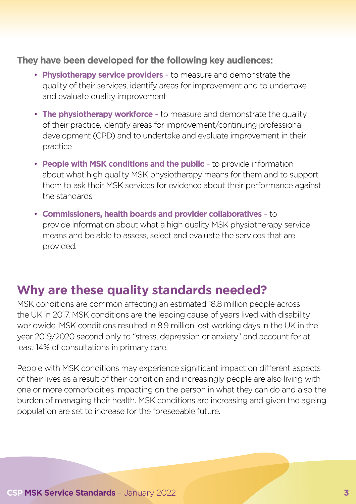#### **They have been developed for the following key audiences:**

- **Physiotherapy service providers**  to measure and demonstrate the quality of their services, identify areas for improvement and to undertake and evaluate quality improvement
- **The physiotherapy workforce**  to measure and demonstrate the quality of their practice, identify areas for improvement/continuing professional development (CPD) and to undertake and evaluate improvement in their practice
- **People with MSK conditions and the public** to provide information about what high quality MSK physiotherapy means for them and to support them to ask their MSK services for evidence about their performance against the standards
- **Commissioners, health boards and provider collaboratives**  to provide information about what a high quality MSK physiotherapy service means and be able to assess, select and evaluate the services that are provided.

#### **Why are these quality standards needed?**

MSK conditions are common affecting an estimated 18.8 million people across the UK in 2017. MSK conditions are the leading cause of years lived with disability worldwide. MSK conditions resulted in 8.9 million lost working days in the UK in the year 2019/2020 second only to "stress, depression or anxiety" and account for at least 14% of consultations in primary care.

People with MSK conditions may experience significant impact on different aspects of their lives as a result of their condition and increasingly people are also living with one or more comorbidities impacting on the person in what they can do and also the burden of managing their health. MSK conditions are increasing and given the ageing population are set to increase for the foreseeable future.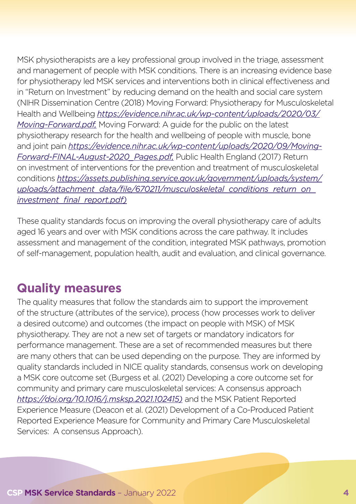MSK physiotherapists are a key professional group involved in the triage, assessment and management of people with MSK conditions. There is an increasing evidence base for physiotherapy led MSK services and interventions both in clinical effectiveness and in "Return on Investment" by reducing demand on the health and social care system (NIHR Dissemination Centre (2018) Moving Forward: Physiotherapy for Musculoskeletal Health and Wellbeing *[https://evidence.nihr.ac.uk/wp-content/uploads/2020/03/](https://evidence.nihr.ac.uk/wp-content/uploads/2020/03/Moving-Forward.pdf) [Moving-Forward.pdf](https://evidence.nihr.ac.uk/wp-content/uploads/2020/03/Moving-Forward.pdf),* Moving Forward: A guide for the public on the latest physiotherapy research for the health and wellbeing of people with muscle, bone and joint pain *[https://evidence.nihr.ac.uk/wp-content/uploads/2020/09/Moving-](https://evidence.nihr.ac.uk/wp-content/uploads/2020/09/Moving-Forward-FINAL-August-2020_Pages.pdf)[Forward-FINAL-August-2020\\_Pages.pdf](https://evidence.nihr.ac.uk/wp-content/uploads/2020/09/Moving-Forward-FINAL-August-2020_Pages.pdf),* Public Health England (2017) Return on investment of interventions for the prevention and treatment of musculoskeletal conditions *[https://assets.publishing.service.gov.uk/government/uploads/system/](https://assets.publishing.service.gov.uk/government/uploads/system/uploads/attachment_data/file/670211/musculoskeletal_conditions_return_on_investment_final_report.pdf) [uploads/attachment\\_data/file/670211/musculoskeletal\\_conditions\\_return\\_on\\_](https://assets.publishing.service.gov.uk/government/uploads/system/uploads/attachment_data/file/670211/musculoskeletal_conditions_return_on_investment_final_report.pdf) [investment\\_final\\_report.pdf\)](https://assets.publishing.service.gov.uk/government/uploads/system/uploads/attachment_data/file/670211/musculoskeletal_conditions_return_on_investment_final_report.pdf)*

These quality standards focus on improving the overall physiotherapy care of adults aged 16 years and over with MSK conditions across the care pathway. It includes assessment and management of the condition, integrated MSK pathways, promotion of self-management, population health, audit and evaluation, and clinical governance.

#### **Quality measures**

The quality measures that follow the standards aim to support the improvement of the structure (attributes of the service), process (how processes work to deliver a desired outcome) and outcomes (the impact on people with MSK) of MSK physiotherapy. They are not a new set of targets or mandatory indicators for performance management. These are a set of recommended measures but there are many others that can be used depending on the purpose. They are informed by quality standards included in NICE quality standards, consensus work on developing a MSK core outcome set (Burgess et al. (2021) Developing a core outcome set for community and primary care musculoskeletal services: A consensus approach *[https://doi.org/10.1016/j.msksp.2021.102415\)](https://www.sciencedirect.com/science/article/abs/pii/S2468781221000990?via%3Dihub)* and the MSK Patient Reported Experience Measure (Deacon et al. (2021) Development of a Co-Produced Patient Reported Experience Measure for Community and Primary Care Musculoskeletal Services: A consensus Approach).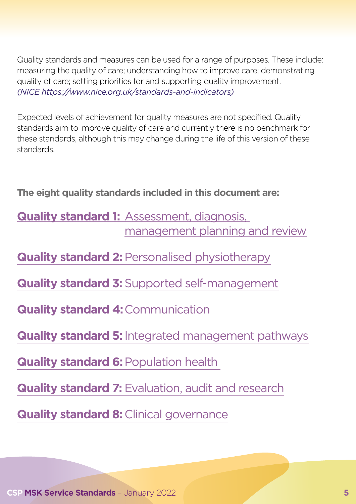Quality standards and measures can be used for a range of purposes. These include: measuring the quality of care; understanding how to improve care; demonstrating quality of care; setting priorities for and supporting quality improvement. *(NICE [https://www.nice.org.uk/standards-and-indicators\)](https://www.nice.org.uk/standards-and-indicators)*

Expected levels of achievement for quality measures are not specified. Quality standards aim to improve quality of care and currently there is no benchmark for these standards, although this may change during the life of this version of these standards.

**The eight quality standards included in this document are:**

#### **Quality standard 1: Assessment, diagnosis,** management planning and review

**Quality standard 2: [Personalised physiotherapy](#page-15-0)** 

**Quality standard 3:** [Supported self-management](#page-23-0)

**[Quality standard 4:](#page-29-0)**Communication

**Quality standard 5:** [Integrated management pathways](#page-36-0)

**[Quality standard 6:](#page-42-0) Population health** 

**Quality standard 7:** [Evaluation, audit and research](#page-49-0)

**[Quality standard 8:](#page-56-0) Clinical governance**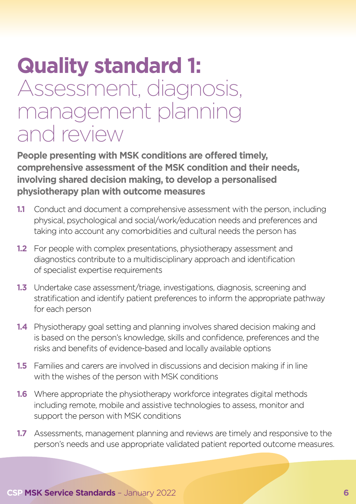# <span id="page-5-0"></span>**Quality standard 1:**  Assessment, diagnosis, management planning and review

**People presenting with MSK conditions are offered timely, comprehensive assessment of the MSK condition and their needs, involving shared decision making, to develop a personalised physiotherapy plan with outcome measures** 

- **1.1** Conduct and document a comprehensive assessment with the person, including physical, psychological and social/work/education needs and preferences and taking into account any comorbidities and cultural needs the person has
- **1.2** For people with complex presentations, physiotherapy assessment and diagnostics contribute to a multidisciplinary approach and identification of specialist expertise requirements
- **1.3** Undertake case assessment/triage, investigations, diagnosis, screening and stratification and identify patient preferences to inform the appropriate pathway for each person
- **1.4** Physiotherapy goal setting and planning involves shared decision making and is based on the person's knowledge, skills and confidence, preferences and the risks and benefits of evidence-based and locally available options
- **1.5** Families and carers are involved in discussions and decision making if in line with the wishes of the person with MSK conditions
- **1.6** Where appropriate the physiotherapy workforce integrates digital methods including remote, mobile and assistive technologies to assess, monitor and support the person with MSK conditions
- **1.7** Assessments, management planning and reviews are timely and responsive to the person's needs and use appropriate validated patient reported outcome measures.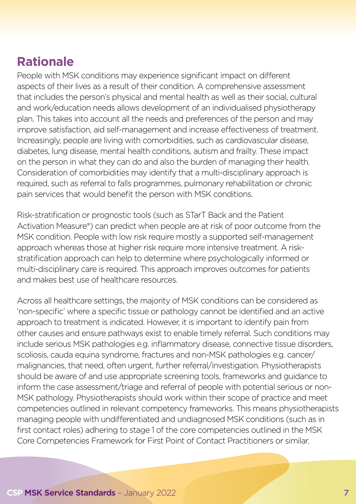### **Rationale**

People with MSK conditions may experience significant impact on different aspects of their lives as a result of their condition. A comprehensive assessment that includes the person's physical and mental health as well as their social, cultural and work/education needs allows development of an individualised physiotherapy plan. This takes into account all the needs and preferences of the person and may improve satisfaction, aid self-management and increase effectiveness of treatment. Increasingly, people are living with comorbidities, such as cardiovascular disease, diabetes, lung disease, mental health conditions, autism and frailty. These impact on the person in what they can do and also the burden of managing their health. Consideration of comorbidities may identify that a multi-disciplinary approach is required, such as referral to falls programmes, pulmonary rehabilitation or chronic pain services that would benefit the person with MSK conditions.

Risk-stratification or prognostic tools (such as STarT Back and the Patient Activation Measure®) can predict when people are at risk of poor outcome from the MSK condition. People with low risk require mostly a supported self-management approach whereas those at higher risk require more intensive treatment. A riskstratification approach can help to determine where psychologically informed or multi-disciplinary care is required. This approach improves outcomes for patients and makes best use of healthcare resources.

Across all healthcare settings, the majority of MSK conditions can be considered as 'non-specific' where a specific tissue or pathology cannot be identified and an active approach to treatment is indicated. However, it is important to identify pain from other causes and ensure pathways exist to enable timely referral. Such conditions may include serious MSK pathologies e.g. inflammatory disease, connective tissue disorders, scoliosis, cauda equina syndrome, fractures and non-MSK pathologies e.g. cancer/ malignancies, that need, often urgent, further referral/investigation. Physiotherapists should be aware of and use appropriate screening tools, frameworks and guidance to inform the case assessment/triage and referral of people with potential serious or non-MSK pathology. Physiotherapists should work within their scope of practice and meet competencies outlined in relevant competency frameworks. This means physiotherapists managing people with undifferentiated and undiagnosed MSK conditions (such as in first contact roles) adhering to stage 1 of the core competencies outlined in the MSK Core Competencies Framework for First Point of Contact Practitioners or similar.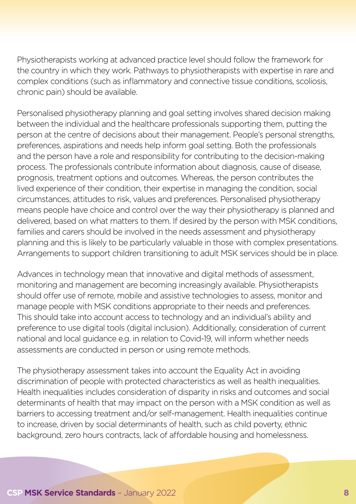Physiotherapists working at advanced practice level should follow the framework for the country in which they work. Pathways to physiotherapists with expertise in rare and complex conditions (such as inflammatory and connective tissue conditions, scoliosis, chronic pain) should be available.

Personalised physiotherapy planning and goal setting involves shared decision making between the individual and the healthcare professionals supporting them, putting the person at the centre of decisions about their management. People's personal strengths, preferences, aspirations and needs help inform goal setting. Both the professionals and the person have a role and responsibility for contributing to the decision-making process. The professionals contribute information about diagnosis, cause of disease, prognosis, treatment options and outcomes. Whereas, the person contributes the lived experience of their condition, their expertise in managing the condition, social circumstances, attitudes to risk, values and preferences. Personalised physiotherapy means people have choice and control over the way their physiotherapy is planned and delivered, based on what matters to them. If desired by the person with MSK conditions, families and carers should be involved in the needs assessment and physiotherapy planning and this is likely to be particularly valuable in those with complex presentations. Arrangements to support children transitioning to adult MSK services should be in place.

Advances in technology mean that innovative and digital methods of assessment, monitoring and management are becoming increasingly available. Physiotherapists should offer use of remote, mobile and assistive technologies to assess, monitor and manage people with MSK conditions appropriate to their needs and preferences. This should take into account access to technology and an individual's ability and preference to use digital tools (digital inclusion). Additionally, consideration of current national and local guidance e.g. in relation to Covid-19, will inform whether needs assessments are conducted in person or using remote methods.

The physiotherapy assessment takes into account the Equality Act in avoiding discrimination of people with protected characteristics as well as health inequalities. Health inequalities includes consideration of disparity in risks and outcomes and social determinants of health that may impact on the person with a MSK condition as well as barriers to accessing treatment and/or self-management. Health inequalities continue to increase, driven by social determinants of health, such as child poverty, ethnic background, zero hours contracts, lack of affordable housing and homelessness.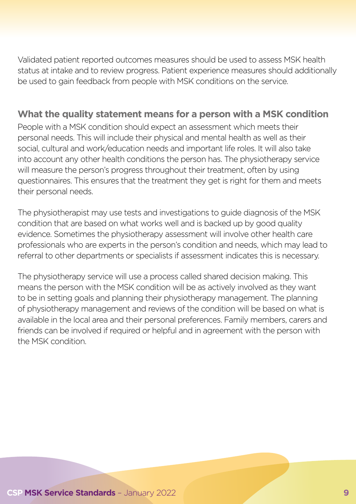Validated patient reported outcomes measures should be used to assess MSK health status at intake and to review progress. Patient experience measures should additionally be used to gain feedback from people with MSK conditions on the service.

#### **What the quality statement means for a person with a MSK condition**

People with a MSK condition should expect an assessment which meets their personal needs. This will include their physical and mental health as well as their social, cultural and work/education needs and important life roles. It will also take into account any other health conditions the person has. The physiotherapy service will measure the person's progress throughout their treatment, often by using questionnaires. This ensures that the treatment they get is right for them and meets their personal needs.

The physiotherapist may use tests and investigations to guide diagnosis of the MSK condition that are based on what works well and is backed up by good quality evidence. Sometimes the physiotherapy assessment will involve other health care professionals who are experts in the person's condition and needs, which may lead to referral to other departments or specialists if assessment indicates this is necessary.

The physiotherapy service will use a process called shared decision making. This means the person with the MSK condition will be as actively involved as they want to be in setting goals and planning their physiotherapy management. The planning of physiotherapy management and reviews of the condition will be based on what is available in the local area and their personal preferences. Family members, carers and friends can be involved if required or helpful and in agreement with the person with the MSK condition.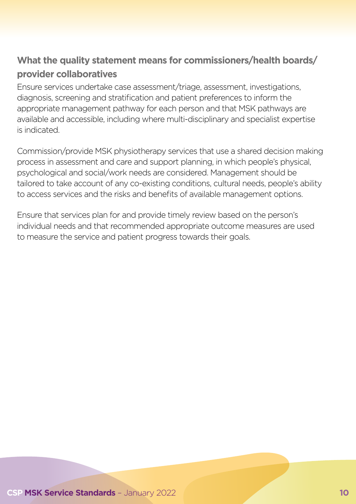#### **What the quality statement means for commissioners/health boards/ provider collaboratives**

Ensure services undertake case assessment/triage, assessment, investigations, diagnosis, screening and stratification and patient preferences to inform the appropriate management pathway for each person and that MSK pathways are available and accessible, including where multi-disciplinary and specialist expertise is indicated.

Commission/provide MSK physiotherapy services that use a shared decision making process in assessment and care and support planning, in which people's physical, psychological and social/work needs are considered. Management should be tailored to take account of any co-existing conditions, cultural needs, people's ability to access services and the risks and benefits of available management options.

Ensure that services plan for and provide timely review based on the person's individual needs and that recommended appropriate outcome measures are used to measure the service and patient progress towards their goals.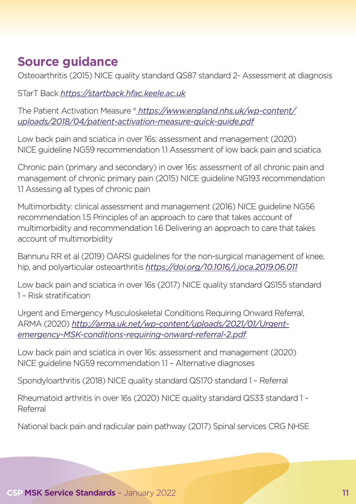## **Source guidance**

Osteoarthritis (2015) NICE quality standard QS87 standard 2- Assessment at diagnosis

STarT Back *<https://startback.hfac.keele.ac.uk>*

The Patient Activation Measure ® *[https://www.england.nhs.uk/wp-content/](https://www.england.nhs.uk/wp-content/uploads/2018/04/patient-activation-measure-quick-guide.pdf) [uploads/2018/04/patient-activation-measure-quick-guide.pdf](https://www.england.nhs.uk/wp-content/uploads/2018/04/patient-activation-measure-quick-guide.pdf)*

Low back pain and sciatica in over 16s: assessment and management (2020) NICE guideline NG59 recommendation 1.1 Assessment of low back pain and sciatica

Chronic pain (primary and secondary) in over 16s: assessment of all chronic pain and management of chronic primary pain (2015) NICE guideline NG193 recommendation 1.1 Assessing all types of chronic pain

Multimorbidity: clinical assessment and management (2016) NICE guideline NG56 recommendation 1.5 Principles of an approach to care that takes account of multimorbidity and recommendation 1.6 Delivering an approach to care that takes account of multimorbidity

Bannuru RR et al (2019) OARSI guidelines for the non-surgical management of knee, hip, and polyarticular osteoarthritis *https://doi.org/10.1016/j.joca.2019.06.011*

Low back pain and sciatica in over 16s (2017) NICE quality standard QS155 standard 1 – Risk stratification

Urgent and Emergency Musculoskeletal Conditions Requiring Onward Referral, ARMA (2020) *http://arma.uk.net/wp-content/uploads/2021/01/Urgentemergency-MSK-conditions-requiring-onward-referral-2.pdf*

Low back pain and sciatica in over 16s: assessment and management (2020) NICE guideline NG59 recommendation 1.1 – Alternative diagnoses

Spondyloarthritis (2018) NICE quality standard QS170 standard 1 – Referral

Rheumatoid arthritis in over 16s (2020) NICE quality standard QS33 standard 1 – Referral

National back pain and radicular pain pathway (2017) Spinal services CRG NHSE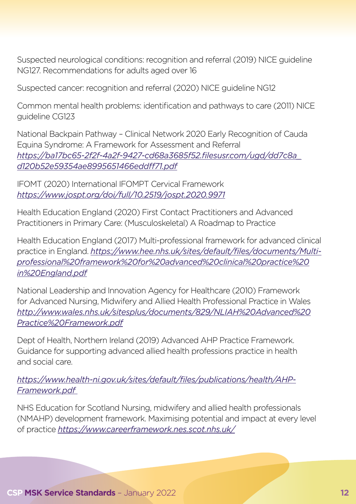Suspected neurological conditions: recognition and referral (2019) NICE guideline NG127. Recommendations for adults aged over 16

Suspected cancer: recognition and referral (2020) NICE guideline NG12

Common mental health problems: identification and pathways to care (2011) NICE guideline CG123

National Backpain Pathway – Clinical Network 2020 Early Recognition of Cauda Equina Syndrome: A Framework for Assessment and Referral *[https://ba17bc65-2f2f-4a2f-9427-cd68a3685f52.filesusr.com/ugd/dd7c8a\\_](https://ba17bc65-2f2f-4a2f-9427-cd68a3685f52.filesusr.com/ugd/dd7c8a_d120b52e59354ae8995651466eddff71.pdf) [d120b52e59354ae8995651466eddff71.pdf](https://ba17bc65-2f2f-4a2f-9427-cd68a3685f52.filesusr.com/ugd/dd7c8a_d120b52e59354ae8995651466eddff71.pdf)*

IFOMT (2020) International IFOMPT Cervical Framework *https://www.jospt.org/doi/full/10.2519/jospt.2020.9971*

Health Education England (2020) First Contact Practitioners and Advanced Practitioners in Primary Care: (Musculoskeletal) A Roadmap to Practice

Health Education England (2017) Multi-professional framework for advanced clinical practice in England. *[https://www.hee.nhs.uk/sites/default/files/documents/Multi](https://www.hee.nhs.uk/sites/default/files/documents/Multi-professional%20framework%20for%20advanced%20clinical%20practice%20in%20England.pdf)[professional%20framework%20for%20advanced%20clinical%20practice%20](https://www.hee.nhs.uk/sites/default/files/documents/Multi-professional%20framework%20for%20advanced%20clinical%20practice%20in%20England.pdf) [in%20England.pdf](https://www.hee.nhs.uk/sites/default/files/documents/Multi-professional%20framework%20for%20advanced%20clinical%20practice%20in%20England.pdf)*

National Leadership and Innovation Agency for Healthcare (2010) Framework for Advanced Nursing, Midwifery and Allied Health Professional Practice in Wales *[http://www.wales.nhs.uk/sitesplus/documents/829/NLIAH%20Advanced%20](http://www.wales.nhs.uk/sitesplus/documents/829/NLIAH%20Advanced%20Practice%20Framework.pdf) [Practice%20Framework.pdf](http://www.wales.nhs.uk/sitesplus/documents/829/NLIAH%20Advanced%20Practice%20Framework.pdf)*

Dept of Health, Northern Ireland (2019) Advanced AHP Practice Framework. Guidance for supporting advanced allied health professions practice in health and social care.

*https://www.health-ni.gov.uk/sites/default/files/publications/health/AHP-Framework.pdf* 

NHS Education for Scotland Nursing, midwifery and allied health professionals (NMAHP) development framework. Maximising potential and impact at every level of practice *https://www.careerframework.nes.scot.nhs.uk/*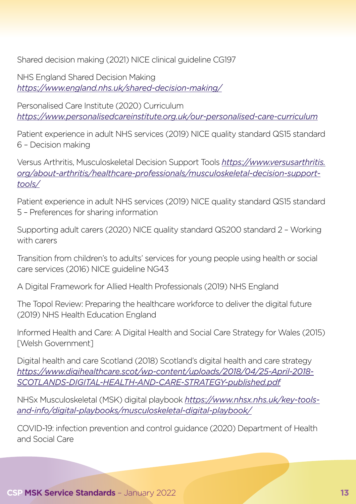Shared decision making (2021) NICE clinical guideline CG197

NHS England Shared Decision Making *https://www.england.nhs.uk/shared-decision-making/*

Personalised Care Institute (2020) Curriculum *[https://www.personalisedcareinstitute.org.uk/our-personalised-care-curriculum](https://www.personalisedcareinstitute.org.uk/our-personalised-care-curriculum/)*

Patient experience in adult NHS services (2019) NICE quality standard QS15 standard 6 – Decision making

Versus Arthritis, Musculoskeletal Decision Support Tools *[https://www.versusarthritis.](https://www.versusarthritis.org/about-arthritis/healthcare-professionals/musculoskeletal-decision-support-tools/) [org/about-arthritis/healthcare-professionals/musculoskeletal-decision-support](https://www.versusarthritis.org/about-arthritis/healthcare-professionals/musculoskeletal-decision-support-tools/)[tools/](https://www.versusarthritis.org/about-arthritis/healthcare-professionals/musculoskeletal-decision-support-tools/)*

Patient experience in adult NHS services (2019) NICE quality standard QS15 standard 5 – Preferences for sharing information

Supporting adult carers (2020) NICE quality standard QS200 standard 2 – Working with carers

Transition from children's to adults' services for young people using health or social care services (2016) NICE guideline NG43

A Digital Framework for Allied Health Professionals (2019) NHS England

The Topol Review: Preparing the healthcare workforce to deliver the digital future (2019) NHS Health Education England

Informed Health and Care: A Digital Health and Social Care Strategy for Wales (2015) [Welsh Government]

Digital health and care Scotland (2018) Scotland's digital health and care strategy *https://www.digihealthcare.scot/wp-content/uploads/2018/04/25-April-2018- SCOTLANDS-DIGITAL-HEALTH-AND-CARE-STRATEGY-published.pdf*

NHSx Musculoskeletal (MSK) digital playbook *https://www.nhsx.nhs.uk/key-toolsand-info/digital-playbooks/musculoskeletal-digital-playbook/*

COVID-19: infection prevention and control guidance (2020) Department of Health and Social Care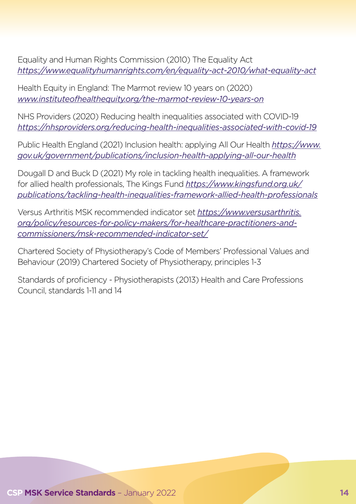Equality and Human Rights Commission (2010) The Equality Act *https://www.equalityhumanrights.com/en/equality-act-2010/what-equality-act*

Health Equity in England: The Marmot review 10 years on (2020) *www.instituteofhealthequity.org/the-marmot-review-10-years-on*

NHS Providers (2020) Reducing health inequalities associated with COVID-19 *https://nhsproviders.org/reducing-health-inequalities-associated-with-covid-19*

Public Health England (2021) Inclusion health: applying All Our Health *[https://www.](https://www.gov.uk/government/publications/inclusion-health-applying-all-our-health) [gov.uk/government/publications/inclusion-health-applying-all-our-health](https://www.gov.uk/government/publications/inclusion-health-applying-all-our-health)*

Dougall D and Buck D (2021) My role in tackling health inequalities. A framework for allied health professionals, The Kings Fund *[https://www.kingsfund.org.uk/](https://www.kingsfund.org.uk/publications/tackling-health-inequalities-framework-allied-health-professionals) [publications/tackling-health-inequalities-framework-allied-health-professionals](https://www.kingsfund.org.uk/publications/tackling-health-inequalities-framework-allied-health-professionals)*

Versus Arthritis MSK recommended indicator set *[https://www.versusarthritis.](https://www.versusarthritis.org/policy/resources-for-policy-makers/for-healthcare-practitioners-and-commissioners/msk-recommended-indicator-set/) [org/policy/resources-for-policy-makers/for-healthcare-practitioners-and](https://www.versusarthritis.org/policy/resources-for-policy-makers/for-healthcare-practitioners-and-commissioners/msk-recommended-indicator-set/)[commissioners/msk-recommended-indicator-set/](https://www.versusarthritis.org/policy/resources-for-policy-makers/for-healthcare-practitioners-and-commissioners/msk-recommended-indicator-set/)*

Chartered Society of Physiotherapy's Code of Members' Professional Values and Behaviour (2019) Chartered Society of Physiotherapy, principles 1-3

Standards of proficiency - Physiotherapists (2013) Health and Care Professions Council, standards 1-11 and 14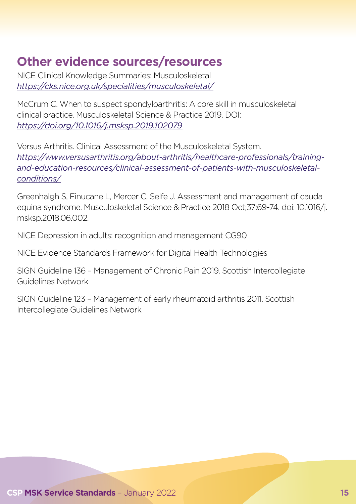# **Other evidence sources/resources**

NICE Clinical Knowledge Summaries: Musculoskeletal *https://cks.nice.org.uk/specialities/musculoskeletal/*

McCrum C. When to suspect spondyloarthritis: A core skill in musculoskeletal clinical practice. Musculoskeletal Science & Practice 2019. DOI: *https://doi.org/10.1016/j.msksp.2019.102079*

Versus Arthritis. Clinical Assessment of the Musculoskeletal System. *[https://www.versusarthritis.org/about-arthritis/healthcare-professionals/training](https://www.versusarthritis.org/about-arthritis/healthcare-professionals/training-and-education-resources/clinical-assessment-of-patients-with-musculoskeletal-conditions/)[and-education-resources/clinical-assessment-of-patients-with-musculoskeletal](https://www.versusarthritis.org/about-arthritis/healthcare-professionals/training-and-education-resources/clinical-assessment-of-patients-with-musculoskeletal-conditions/)[conditions/](https://www.versusarthritis.org/about-arthritis/healthcare-professionals/training-and-education-resources/clinical-assessment-of-patients-with-musculoskeletal-conditions/)*

Greenhalgh S, Finucane L, Mercer C, Selfe J. Assessment and management of cauda equina syndrome. Musculoskeletal Science & Practice 2018 Oct;37:69-74. doi: 10.1016/j. msksp.2018.06.002.

NICE Depression in adults: recognition and management CG90

NICE Evidence Standards Framework for Digital Health Technologies

SIGN Guideline 136 – Management of Chronic Pain 2019. Scottish Intercollegiate Guidelines Network

SIGN Guideline 123 – Management of early rheumatoid arthritis 2011. Scottish Intercollegiate Guidelines Network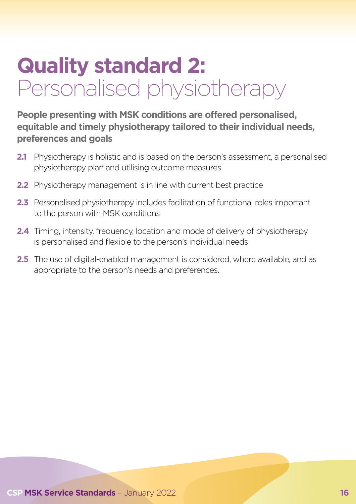# <span id="page-15-0"></span>**Quality standard 2:**  Personalised physiotherapy

#### **People presenting with MSK conditions are offered personalised, equitable and timely physiotherapy tailored to their individual needs, preferences and goals**

- **2.1** Physiotherapy is holistic and is based on the person's assessment, a personalised physiotherapy plan and utilising outcome measures
- **2.2** Physiotherapy management is in line with current best practice
- **2.3** Personalised physiotherapy includes facilitation of functional roles important to the person with MSK conditions
- **2.4** Timing, intensity, frequency, location and mode of delivery of physiotherapy is personalised and flexible to the person's individual needs
- **2.5** The use of digital-enabled management is considered, where available, and as appropriate to the person's needs and preferences.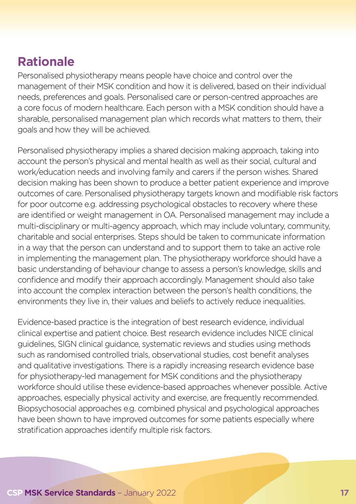### **Rationale**

Personalised physiotherapy means people have choice and control over the management of their MSK condition and how it is delivered, based on their individual needs, preferences and goals. Personalised care or person-centred approaches are a core focus of modern healthcare. Each person with a MSK condition should have a sharable, personalised management plan which records what matters to them, their goals and how they will be achieved.

Personalised physiotherapy implies a shared decision making approach, taking into account the person's physical and mental health as well as their social, cultural and work/education needs and involving family and carers if the person wishes. Shared decision making has been shown to produce a better patient experience and improve outcomes of care. Personalised physiotherapy targets known and modifiable risk factors for poor outcome e.g. addressing psychological obstacles to recovery where these are identified or weight management in OA. Personalised management may include a multi-disciplinary or multi-agency approach, which may include voluntary, community, charitable and social enterprises. Steps should be taken to communicate information in a way that the person can understand and to support them to take an active role in implementing the management plan. The physiotherapy workforce should have a basic understanding of behaviour change to assess a person's knowledge, skills and confidence and modify their approach accordingly. Management should also take into account the complex interaction between the person's health conditions, the environments they live in, their values and beliefs to actively reduce inequalities.

Evidence-based practice is the integration of best research evidence, individual clinical expertise and patient choice. Best research evidence includes NICE clinical guidelines, SIGN clinical guidance, systematic reviews and studies using methods such as randomised controlled trials, observational studies, cost benefit analyses and qualitative investigations. There is a rapidly increasing research evidence base for physiotherapy-led management for MSK conditions and the physiotherapy workforce should utilise these evidence-based approaches whenever possible. Active approaches, especially physical activity and exercise, are frequently recommended. Biopsychosocial approaches e.g. combined physical and psychological approaches have been shown to have improved outcomes for some patients especially where stratification approaches identify multiple risk factors.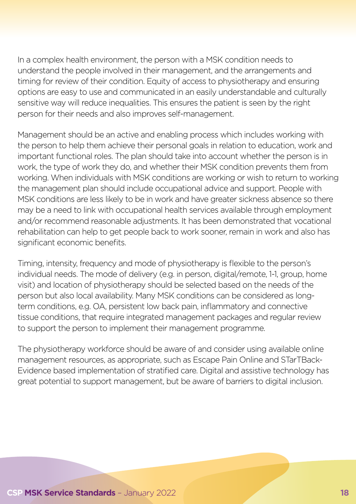In a complex health environment, the person with a MSK condition needs to understand the people involved in their management, and the arrangements and timing for review of their condition. Equity of access to physiotherapy and ensuring options are easy to use and communicated in an easily understandable and culturally sensitive way will reduce inequalities. This ensures the patient is seen by the right person for their needs and also improves self-management.

Management should be an active and enabling process which includes working with the person to help them achieve their personal goals in relation to education, work and important functional roles. The plan should take into account whether the person is in work, the type of work they do, and whether their MSK condition prevents them from working. When individuals with MSK conditions are working or wish to return to working the management plan should include occupational advice and support. People with MSK conditions are less likely to be in work and have greater sickness absence so there may be a need to link with occupational health services available through employment and/or recommend reasonable adjustments. It has been demonstrated that vocational rehabilitation can help to get people back to work sooner, remain in work and also has significant economic benefits.

Timing, intensity, frequency and mode of physiotherapy is flexible to the person's individual needs. The mode of delivery (e.g. in person, digital/remote, 1-1, group, home visit) and location of physiotherapy should be selected based on the needs of the person but also local availability. Many MSK conditions can be considered as longterm conditions, e.g. OA, persistent low back pain, inflammatory and connective tissue conditions, that require integrated management packages and regular review to support the person to implement their management programme.

The physiotherapy workforce should be aware of and consider using available online management resources, as appropriate, such as Escape Pain Online and STarTBack-Evidence based implementation of stratified care. Digital and assistive technology has great potential to support management, but be aware of barriers to digital inclusion.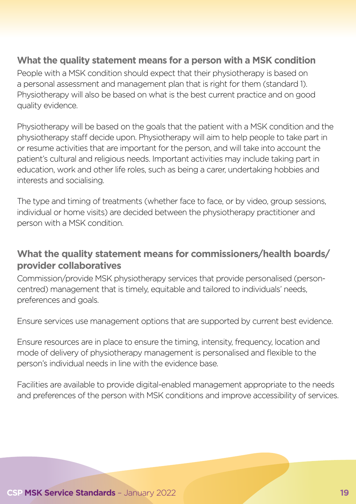#### **What the quality statement means for a person with a MSK condition**

People with a MSK condition should expect that their physiotherapy is based on a personal assessment and management plan that is right for them (standard 1). Physiotherapy will also be based on what is the best current practice and on good quality evidence.

Physiotherapy will be based on the goals that the patient with a MSK condition and the physiotherapy staff decide upon. Physiotherapy will aim to help people to take part in or resume activities that are important for the person, and will take into account the patient's cultural and religious needs. Important activities may include taking part in education, work and other life roles, such as being a carer, undertaking hobbies and interests and socialising.

The type and timing of treatments (whether face to face, or by video, group sessions, individual or home visits) are decided between the physiotherapy practitioner and person with a MSK condition.

#### **What the quality statement means for commissioners/health boards/ provider collaboratives**

Commission/provide MSK physiotherapy services that provide personalised (personcentred) management that is timely, equitable and tailored to individuals' needs, preferences and goals.

Ensure services use management options that are supported by current best evidence.

Ensure resources are in place to ensure the timing, intensity, frequency, location and mode of delivery of physiotherapy management is personalised and flexible to the person's individual needs in line with the evidence base.

Facilities are available to provide digital-enabled management appropriate to the needs and preferences of the person with MSK conditions and improve accessibility of services.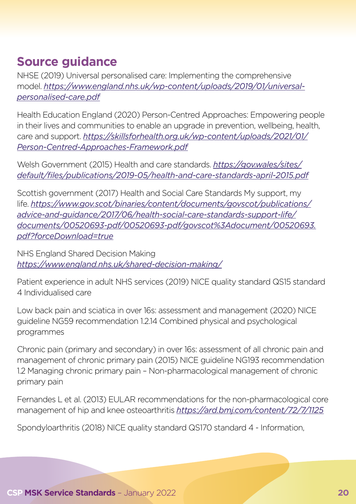### **Source guidance**

NHSE (2019) Universal personalised care: Implementing the comprehensive model. *https://www.england.nhs.uk/wp-content/uploads/2019/01/universalpersonalised-care.pdf*

Health Education England (2020) Person-Centred Approaches: Empowering people in their lives and communities to enable an upgrade in prevention, wellbeing, health, care and support. *[https://skillsforhealth.org.uk/wp-content/uploads/2021/01/](https://skillsforhealth.org.uk/wp-content/uploads/2021/01/Person-Centred-Approaches-Framework.pdf) [Person-Centred-Approaches-Framework.pdf](https://skillsforhealth.org.uk/wp-content/uploads/2021/01/Person-Centred-Approaches-Framework.pdf)*

Welsh Government (2015) Health and care standards. *[https://gov.wales/sites/](https://gov.wales/sites/default/files/publications/2019-05/health-and-care-standards-april-2015.pdf) [default/files/publications/2019-05/health-and-care-standards-april-2015.pdf](https://gov.wales/sites/default/files/publications/2019-05/health-and-care-standards-april-2015.pdf)*

Scottish government (2017) Health and Social Care Standards My support, my life. *[https://www.gov.scot/binaries/content/documents/govscot/publications/](https://www.gov.scot/binaries/content/documents/govscot/publications/advice-and-guidance/2017/06/health-social-care-standards-support-life/documents/00520693-pdf/00520693-pdf/govscot%3Adocument/00520693.pdf?forceDownload=true) [advice-and-guidance/2017/06/health-social-care-standards-support-life/](https://www.gov.scot/binaries/content/documents/govscot/publications/advice-and-guidance/2017/06/health-social-care-standards-support-life/documents/00520693-pdf/00520693-pdf/govscot%3Adocument/00520693.pdf?forceDownload=true) [documents/00520693-pdf/00520693-pdf/govscot%3Adocument/00520693.](https://www.gov.scot/binaries/content/documents/govscot/publications/advice-and-guidance/2017/06/health-social-care-standards-support-life/documents/00520693-pdf/00520693-pdf/govscot%3Adocument/00520693.pdf?forceDownload=true) [pdf?forceDownload=true](https://www.gov.scot/binaries/content/documents/govscot/publications/advice-and-guidance/2017/06/health-social-care-standards-support-life/documents/00520693-pdf/00520693-pdf/govscot%3Adocument/00520693.pdf?forceDownload=true)*

NHS England Shared Decision Making *https://www.england.nhs.uk/shared-decision-making/*

Patient experience in adult NHS services (2019) NICE quality standard QS15 standard 4 Individualised care

Low back pain and sciatica in over 16s: assessment and management (2020) NICE guideline NG59 recommendation 1.2.14 Combined physical and psychological programmes

Chronic pain (primary and secondary) in over 16s: assessment of all chronic pain and management of chronic primary pain (2015) NICE guideline NG193 recommendation 1.2 Managing chronic primary pain – Non-pharmacological management of chronic primary pain

Fernandes L et al. (2013) EULAR recommendations for the non-pharmacological core management of hip and knee osteoarthritis *https://ard.bmj.com/content/72/7/1125*

Spondyloarthritis (2018) NICE quality standard QS170 standard 4 - Information,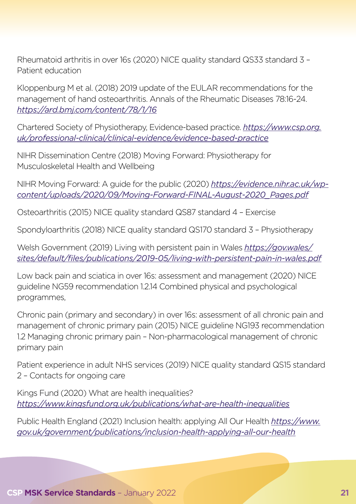Rheumatoid arthritis in over 16s (2020) NICE quality standard QS33 standard 3 – Patient education

Kloppenburg M et al. (2018) 2019 update of the EULAR recommendations for the management of hand osteoarthritis. Annals of the Rheumatic Diseases 78:16-24. *https://ard.bmj.com/content/78/1/16*

Chartered Society of Physiotherapy, Evidence-based practice. *[https://www.csp.org.](https://www.csp.org.uk/professional-clinical/clinical-evidence/evidence-based-practice) [uk/professional-clinical/clinical-evidence/evidence-based-practice](https://www.csp.org.uk/professional-clinical/clinical-evidence/evidence-based-practice)*

NIHR Dissemination Centre (2018) Moving Forward: Physiotherapy for Musculoskeletal Health and Wellbeing

NIHR Moving Forward: A guide for the public (2020) *https://evidence.nihr.ac.uk/wpcontent/uploads/2020/09/Moving-Forward-FINAL-August-2020\_Pages.pdf*

Osteoarthritis (2015) NICE quality standard QS87 standard 4 – Exercise

Spondyloarthritis (2018) NICE quality standard QS170 standard 3 – Physiotherapy

Welsh Government (2019) Living with persistent pain in Wales *[https://gov.wales/](https://gov.wales/sites/default/files/publications/2019-05/living-with-persistent-pain-in-wales.pdf) [sites/default/files/publications/2019-05/living-with-persistent-pain-in-wales.pdf](https://gov.wales/sites/default/files/publications/2019-05/living-with-persistent-pain-in-wales.pdf)*

Low back pain and sciatica in over 16s: assessment and management (2020) NICE guideline NG59 recommendation 1.2.14 Combined physical and psychological programmes,

Chronic pain (primary and secondary) in over 16s: assessment of all chronic pain and management of chronic primary pain (2015) NICE guideline NG193 recommendation 1.2 Managing chronic primary pain – Non-pharmacological management of chronic primary pain

Patient experience in adult NHS services (2019) NICE quality standard QS15 standard 2 – Contacts for ongoing care

Kings Fund (2020) What are health inequalities? *https://www.kingsfund.org.uk/publications/what-are-health-inequalities*

Public Health England (2021) Inclusion health: applying All Our Health *[https://www.](https://www.gov.uk/government/publications/inclusion-health-applying-all-our-health) [gov.uk/government/publications/inclusion-health-applying-all-our-health](https://www.gov.uk/government/publications/inclusion-health-applying-all-our-health)*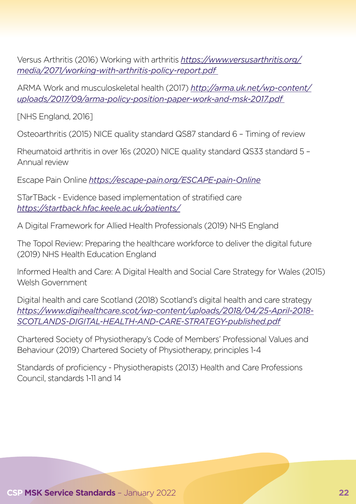Versus Arthritis (2016) Working with arthritis *[https://www.versusarthritis.org/](https://www.versusarthritis.org/media/2071/working-with-arthritis-policy-report.pdf) [media/2071/working-with-arthritis-policy-report.pdf](https://www.versusarthritis.org/media/2071/working-with-arthritis-policy-report.pdf)* 

ARMA Work and musculoskeletal health (2017) *[http://arma.uk.net/wp-content/](http://arma.uk.net/wp-content/uploads/2017/09/arma-policy-position-paper-work-and-msk-2017.pdf) [uploads/2017/09/arma-policy-position-paper-work-and-msk-2017.pdf](http://arma.uk.net/wp-content/uploads/2017/09/arma-policy-position-paper-work-and-msk-2017.pdf)* 

[NHS England, 2016]

Osteoarthritis (2015) NICE quality standard QS87 standard 6 – Timing of review

Rheumatoid arthritis in over 16s (2020) NICE quality standard QS33 standard 5 – Annual review

Escape Pain Online *https://escape-pain.org/ESCAPE-pain-Online*

STarTBack - Evidence based implementation of stratified care *https://startback.hfac.keele.ac.uk/patients/*

A Digital Framework for Allied Health Professionals (2019) NHS England

The Topol Review: Preparing the healthcare workforce to deliver the digital future (2019) NHS Health Education England

Informed Health and Care: A Digital Health and Social Care Strategy for Wales (2015) Welsh Government

Digital health and care Scotland (2018) Scotland's digital health and care strategy *https://www.digihealthcare.scot/wp-content/uploads/2018/04/25-April-2018- SCOTLANDS-DIGITAL-HEALTH-AND-CARE-STRATEGY-published.pdf*

Chartered Society of Physiotherapy's Code of Members' Professional Values and Behaviour (2019) Chartered Society of Physiotherapy, principles 1-4

Standards of proficiency - Physiotherapists (2013) Health and Care Professions Council, standards 1-11 and 14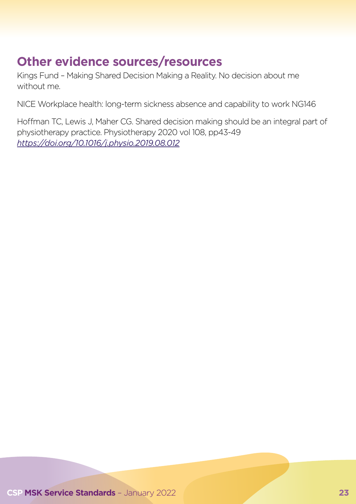# **Other evidence sources/resources**

Kings Fund – Making Shared Decision Making a Reality. No decision about me without me.

NICE Workplace health: long-term sickness absence and capability to work NG146

Hoffman TC, Lewis J, Maher CG. Shared decision making should be an integral part of physiotherapy practice. Physiotherapy 2020 vol 108, pp43-49 *https://doi.org/10.1016/j.physio.2019.08.012*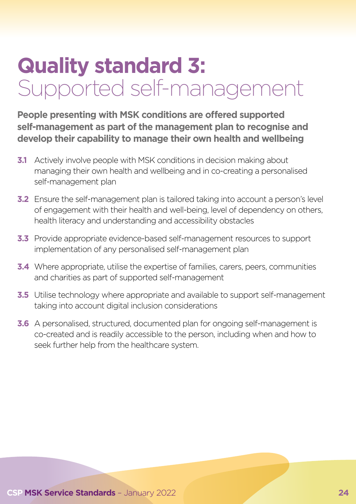# <span id="page-23-0"></span>**Quality standard 3:**  Supported self-management

**People presenting with MSK conditions are offered supported self-management as part of the management plan to recognise and develop their capability to manage their own health and wellbeing**

- **3.1** Actively involve people with MSK conditions in decision making about managing their own health and wellbeing and in co-creating a personalised self-management plan
- **3.2** Ensure the self-management plan is tailored taking into account a person's level of engagement with their health and well-being, level of dependency on others, health literacy and understanding and accessibility obstacles
- **3.3** Provide appropriate evidence-based self-management resources to support implementation of any personalised self-management plan
- **3.4** Where appropriate, utilise the expertise of families, carers, peers, communities and charities as part of supported self-management
- **3.5** Utilise technology where appropriate and available to support self-management taking into account digital inclusion considerations
- **3.6** A personalised, structured, documented plan for ongoing self-management is co-created and is readily accessible to the person, including when and how to seek further help from the healthcare system.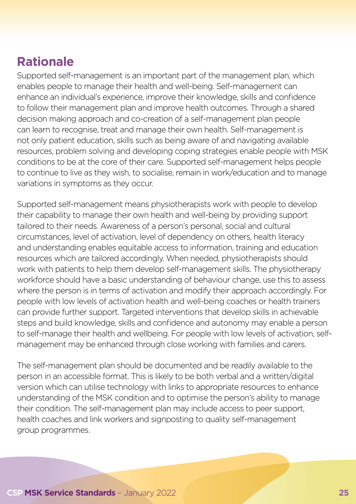# **Rationale**

Supported self-management is an important part of the management plan, which enables people to manage their health and well-being. Self-management can enhance an individual's experience, improve their knowledge, skills and confidence to follow their management plan and improve health outcomes. Through a shared decision making approach and co-creation of a self-management plan people can learn to recognise, treat and manage their own health. Self-management is not only patient education, skills such as being aware of and navigating available resources, problem solving and developing coping strategies enable people with MSK conditions to be at the core of their care. Supported self-management helps people to continue to live as they wish, to socialise, remain in work/education and to manage variations in symptoms as they occur.

Supported self-management means physiotherapists work with people to develop their capability to manage their own health and well-being by providing support tailored to their needs. Awareness of a person's personal, social and cultural circumstances, level of activation, level of dependency on others, health literacy and understanding enables equitable access to information, training and education resources which are tailored accordingly. When needed, physiotherapists should work with patients to help them develop self-management skills. The physiotherapy workforce should have a basic understanding of behaviour change, use this to assess where the person is in terms of activation and modify their approach accordingly. For people with low levels of activation health and well-being coaches or health trainers can provide further support. Targeted interventions that develop skills in achievable steps and build knowledge, skills and confidence and autonomy may enable a person to self-manage their health and wellbeing. For people with low levels of activation, selfmanagement may be enhanced through close working with families and carers.

The self-management plan should be documented and be readily available to the person in an accessible format. This is likely to be both verbal and a written/digital version which can utilise technology with links to appropriate resources to enhance understanding of the MSK condition and to optimise the person's ability to manage their condition. The self-management plan may include access to peer support, health coaches and link workers and signposting to quality self-management group programmes.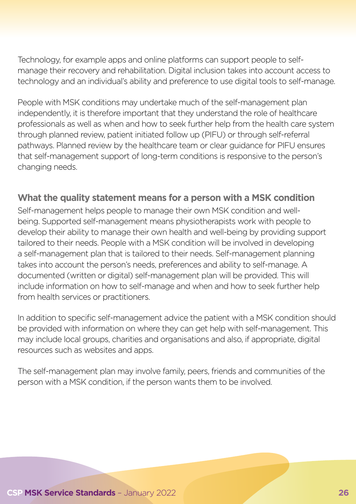Technology, for example apps and online platforms can support people to selfmanage their recovery and rehabilitation. Digital inclusion takes into account access to technology and an individual's ability and preference to use digital tools to self-manage.

People with MSK conditions may undertake much of the self-management plan independently, it is therefore important that they understand the role of healthcare professionals as well as when and how to seek further help from the health care system through planned review, patient initiated follow up (PIFU) or through self-referral pathways. Planned review by the healthcare team or clear guidance for PIFU ensures that self-management support of long-term conditions is responsive to the person's changing needs.

#### **What the quality statement means for a person with a MSK condition**

Self-management helps people to manage their own MSK condition and wellbeing. Supported self-management means physiotherapists work with people to develop their ability to manage their own health and well-being by providing support tailored to their needs. People with a MSK condition will be involved in developing a self-management plan that is tailored to their needs. Self-management planning takes into account the person's needs, preferences and ability to self-manage. A documented (written or digital) self-management plan will be provided. This will include information on how to self-manage and when and how to seek further help from health services or practitioners.

In addition to specific self-management advice the patient with a MSK condition should be provided with information on where they can get help with self-management. This may include local groups, charities and organisations and also, if appropriate, digital resources such as websites and apps.

The self-management plan may involve family, peers, friends and communities of the person with a MSK condition, if the person wants them to be involved.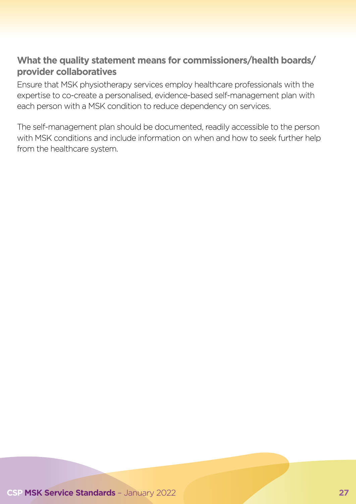#### **What the quality statement means for commissioners/health boards/ provider collaboratives**

Ensure that MSK physiotherapy services employ healthcare professionals with the expertise to co-create a personalised, evidence-based self-management plan with each person with a MSK condition to reduce dependency on services.

The self-management plan should be documented, readily accessible to the person with MSK conditions and include information on when and how to seek further help from the healthcare system.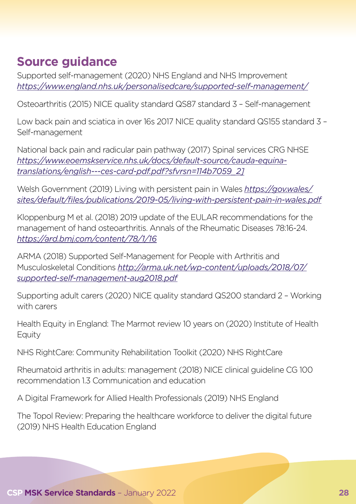### **Source guidance**

Supported self-management (2020) NHS England and NHS Improvement *https://www.england.nhs.uk/personalisedcare/supported-self-management/*

Osteoarthritis (2015) NICE quality standard QS87 standard 3 – Self-management

Low back pain and sciatica in over 16s 2017 NICE quality standard QS155 standard 3 – Self-management

National back pain and radicular pain pathway (2017) Spinal services CRG NHSE *https://www.eoemskservice.nhs.uk/docs/default-source/cauda-equinatranslations/english---ces-card-pdf.pdf?sfvrsn=114b7059\_2]*

Welsh Government (2019) Living with persistent pain in Wales *[https://gov.wales/](https://gov.wales/sites/default/files/publications/2019-05/living-with-persistent-pain-in-wales.pdf) [sites/default/files/publications/2019-05/living-with-persistent-pain-in-wales.pdf](https://gov.wales/sites/default/files/publications/2019-05/living-with-persistent-pain-in-wales.pdf)*

Kloppenburg M et al. (2018) 2019 update of the EULAR recommendations for the management of hand osteoarthritis. Annals of the Rheumatic Diseases 78:16-24. *https://ard.bmj.com/content/78/1/16*

ARMA (2018) Supported Self-Management for People with Arthritis and Musculoskeletal Conditions *[http://arma.uk.net/wp-content/uploads/2018/07/](http://arma.uk.net/wp-content/uploads/2018/07/supported-self-management-aug2018.pdf) [supported-self-management-aug2018.pdf](http://arma.uk.net/wp-content/uploads/2018/07/supported-self-management-aug2018.pdf)*

Supporting adult carers (2020) NICE quality standard QS200 standard 2 – Working with carers

Health Equity in England: The Marmot review 10 years on (2020) Institute of Health **Equity** 

NHS RightCare: Community Rehabilitation Toolkit (2020) NHS RightCare

Rheumatoid arthritis in adults: management (2018) NICE clinical guideline CG 100 recommendation 1.3 Communication and education

A Digital Framework for Allied Health Professionals (2019) NHS England

The Topol Review: Preparing the healthcare workforce to deliver the digital future (2019) NHS Health Education England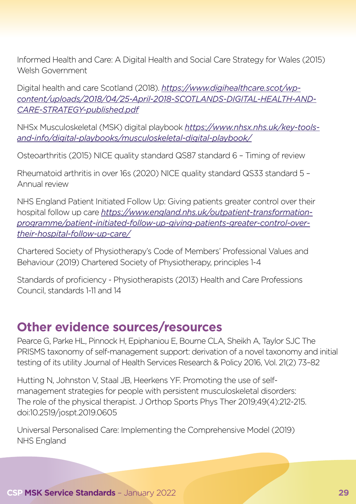Informed Health and Care: A Digital Health and Social Care Strategy for Wales (2015) Welsh Government

Digital health and care Scotland (2018). *https://www.digihealthcare.scot/wpcontent/uploads/2018/04/25-April-2018-SCOTLANDS-DIGITAL-HEALTH-AND-CARE-STRATEGY-published.pdf*

NHSx Musculoskeletal (MSK) digital playbook *https://www.nhsx.nhs.uk/key-toolsand-info/digital-playbooks/musculoskeletal-digital-playbook/*

Osteoarthritis (2015) NICE quality standard QS87 standard 6 – Timing of review

Rheumatoid arthritis in over 16s (2020) NICE quality standard QS33 standard 5 – Annual review

NHS England Patient Initiated Follow Up: Giving patients greater control over their hospital follow up care *[https://www.england.nhs.uk/outpatient-transformation](https://www.england.nhs.uk/outpatient-transformation-programme/patient-initiated-follow-up-giving-patients-greater-control-over-their-hospital-follow-up-care/)[programme/patient-initiated-follow-up-giving-patients-greater-control-over](https://www.england.nhs.uk/outpatient-transformation-programme/patient-initiated-follow-up-giving-patients-greater-control-over-their-hospital-follow-up-care/)[their-hospital-follow-up-care/](https://www.england.nhs.uk/outpatient-transformation-programme/patient-initiated-follow-up-giving-patients-greater-control-over-their-hospital-follow-up-care/)*

Chartered Society of Physiotherapy's Code of Members' Professional Values and Behaviour (2019) Chartered Society of Physiotherapy, principles 1-4

Standards of proficiency - Physiotherapists (2013) Health and Care Professions Council, standards 1-11 and 14

#### **Other evidence sources/resources**

Pearce G, Parke HL, Pinnock H, Epiphaniou E, Bourne CLA, Sheikh A, Taylor SJC The PRISMS taxonomy of self-management support: derivation of a novel taxonomy and initial testing of its utility Journal of Health Services Research & Policy 2016, Vol. 21(2) 73–82

Hutting N, Johnston V, Staal JB, Heerkens YF. Promoting the use of selfmanagement strategies for people with persistent musculoskeletal disorders: The role of the physical therapist. J Orthop Sports Phys Ther 2019;49(4):212-215. doi:10.2519/jospt.2019.0605

Universal Personalised Care: Implementing the Comprehensive Model (2019) NHS England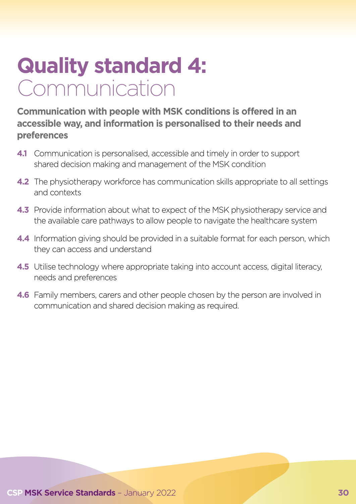# <span id="page-29-0"></span>**Quality standard 4:**  Communication

**Communication with people with MSK conditions is offered in an accessible way, and information is personalised to their needs and preferences**

- **4.1** Communication is personalised, accessible and timely in order to support shared decision making and management of the MSK condition
- **4.2** The physiotherapy workforce has communication skills appropriate to all settings and contexts
- **4.3** Provide information about what to expect of the MSK physiotherapy service and the available care pathways to allow people to navigate the healthcare system
- **4.4** Information giving should be provided in a suitable format for each person, which they can access and understand
- **4.5** Utilise technology where appropriate taking into account access, digital literacy, needs and preferences
- **4.6** Family members, carers and other people chosen by the person are involved in communication and shared decision making as required.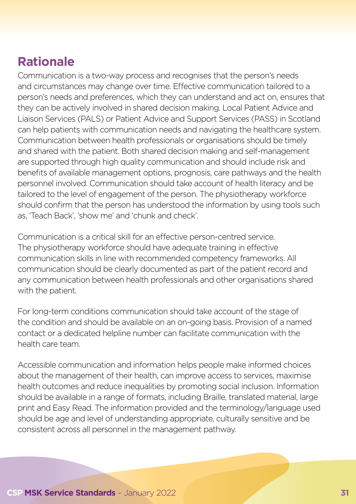# **Rationale**

Communication is a two-way process and recognises that the person's needs and circumstances may change over time. Effective communication tailored to a person's needs and preferences, which they can understand and act on, ensures that they can be actively involved in shared decision making. Local Patient Advice and Liaison Services (PALS) or Patient Advice and Support Services (PASS) in Scotland can help patients with communication needs and navigating the healthcare system. Communication between health professionals or organisations should be timely and shared with the patient. Both shared decision making and self-management are supported through high quality communication and should include risk and benefits of available management options, prognosis, care pathways and the health personnel involved. Communication should take account of health literacy and be tailored to the level of engagement of the person. The physiotherapy workforce should confirm that the person has understood the information by using tools such as, 'Teach Back', 'show me' and 'chunk and check'.

Communication is a critical skill for an effective person-centred service. The physiotherapy workforce should have adequate training in effective communication skills in line with recommended competency frameworks. All communication should be clearly documented as part of the patient record and any communication between health professionals and other organisations shared with the patient.

For long-term conditions communication should take account of the stage of the condition and should be available on an on-going basis. Provision of a named contact or a dedicated helpline number can facilitate communication with the health care team.

Accessible communication and information helps people make informed choices about the management of their health, can improve access to services, maximise health outcomes and reduce inequalities by promoting social inclusion. Information should be available in a range of formats, including Braille, translated material, large print and Easy Read. The information provided and the terminology/language used should be age and level of understanding appropriate, culturally sensitive and be consistent across all personnel in the management pathway.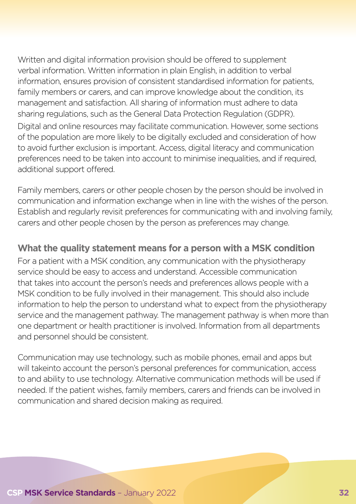Written and digital information provision should be offered to supplement verbal information. Written information in plain English, in addition to verbal information, ensures provision of consistent standardised information for patients, family members or carers, and can improve knowledge about the condition, its management and satisfaction. All sharing of information must adhere to data sharing regulations, such as the General Data Protection Regulation (GDPR). Digital and online resources may facilitate communication. However, some sections of the population are more likely to be digitally excluded and consideration of how to avoid further exclusion is important. Access, digital literacy and communication preferences need to be taken into account to minimise inequalities, and if required, additional support offered.

Family members, carers or other people chosen by the person should be involved in communication and information exchange when in line with the wishes of the person. Establish and regularly revisit preferences for communicating with and involving family, carers and other people chosen by the person as preferences may change.

#### **What the quality statement means for a person with a MSK condition**

For a patient with a MSK condition, any communication with the physiotherapy service should be easy to access and understand. Accessible communication that takes into account the person's needs and preferences allows people with a MSK condition to be fully involved in their management. This should also include information to help the person to understand what to expect from the physiotherapy service and the management pathway. The management pathway is when more than one department or health practitioner is involved. Information from all departments and personnel should be consistent.

Communication may use technology, such as mobile phones, email and apps but will takeinto account the person's personal preferences for communication, access to and ability to use technology. Alternative communication methods will be used if needed. If the patient wishes, family members, carers and friends can be involved in communication and shared decision making as required.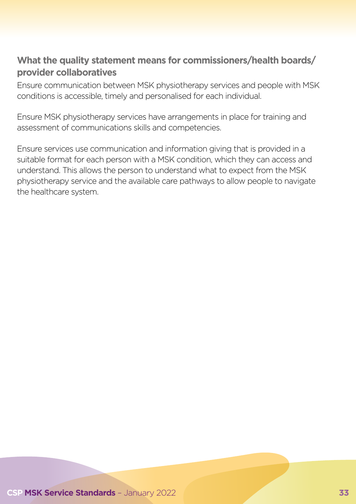#### **What the quality statement means for commissioners/health boards/ provider collaboratives**

Ensure communication between MSK physiotherapy services and people with MSK conditions is accessible, timely and personalised for each individual.

Ensure MSK physiotherapy services have arrangements in place for training and assessment of communications skills and competencies.

Ensure services use communication and information giving that is provided in a suitable format for each person with a MSK condition, which they can access and understand. This allows the person to understand what to expect from the MSK physiotherapy service and the available care pathways to allow people to navigate the healthcare system.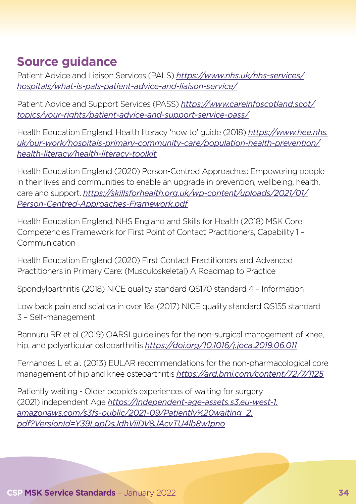### **Source guidance**

Patient Advice and Liaison Services (PALS) *[https://www.nhs.uk/nhs-services/](https://www.nhs.uk/nhs-services/hospitals/what-is-pals-patient-advice-and-liaison-service/) [hospitals/what-is-pals-patient-advice-and-liaison-service/](https://www.nhs.uk/nhs-services/hospitals/what-is-pals-patient-advice-and-liaison-service/)*

Patient Advice and Support Services (PASS) *[https://www.careinfoscotland.scot/](https://www.careinfoscotland.scot/topics/your-rights/patient-advice-and-support-service-pass/) [topics/your-rights/patient-advice-and-support-service-pass/](https://www.careinfoscotland.scot/topics/your-rights/patient-advice-and-support-service-pass/)*

Health Education England. Health literacy 'how to' guide (2018) *[https://www.hee.nhs.](https://www.hee.nhs.uk/our-work/hospitals-primary-community-care/population-health-prevention/health-literacy/health-literacy-toolkit) [uk/our-work/hospitals-primary-community-care/population-health-prevention/](https://www.hee.nhs.uk/our-work/hospitals-primary-community-care/population-health-prevention/health-literacy/health-literacy-toolkit) [health-literacy/health-literacy-toolkit](https://www.hee.nhs.uk/our-work/hospitals-primary-community-care/population-health-prevention/health-literacy/health-literacy-toolkit)*

Health Education England (2020) Person-Centred Approaches: Empowering people in their lives and communities to enable an upgrade in prevention, wellbeing, health, care and support. *[https://skillsforhealth.org.uk/wp-content/uploads/2021/01/](https://skillsforhealth.org.uk/wp-content/uploads/2021/01/Person-Centred-Approaches-Framework.pdf) [Person-Centred-Approaches-Framework.pdf](https://skillsforhealth.org.uk/wp-content/uploads/2021/01/Person-Centred-Approaches-Framework.pdf)*

Health Education England, NHS England and Skills for Health (2018) MSK Core Competencies Framework for First Point of Contact Practitioners, Capability 1 – Communication

Health Education England (2020) First Contact Practitioners and Advanced Practitioners in Primary Care: (Musculoskeletal) A Roadmap to Practice

Spondyloarthritis (2018) NICE quality standard QS170 standard 4 – Information

Low back pain and sciatica in over 16s (2017) NICE quality standard QS155 standard 3 – Self-management

Bannuru RR et al (2019) OARSI guidelines for the non-surgical management of knee, hip, and polyarticular osteoarthritis *https://doi.org/10.1016/j.joca.2019.06.011*

Fernandes L et al. (2013) EULAR recommendations for the non-pharmacological core management of hip and knee osteoarthritis *https://ard.bmj.com/content/72/7/1125*

Patiently waiting - Older people's experiences of waiting for surgery (2021) independent Age *[https://independent-age-assets.s3.eu-west-1.](https://independent-age-assets.s3.eu-west-1.amazonaws.com/s3fs-public/2021-09/Patiently%20waiting_2.pdf?VersionId=Y39LgpDsJdhViiDV8JAcvTU4lb8w1pno) [amazonaws.com/s3fs-public/2021-09/Patiently%20waiting\\_2.](https://independent-age-assets.s3.eu-west-1.amazonaws.com/s3fs-public/2021-09/Patiently%20waiting_2.pdf?VersionId=Y39LgpDsJdhViiDV8JAcvTU4lb8w1pno) [pdf?VersionId=Y39LgpDsJdhViiDV8JAcvTU4lb8w1pno](https://independent-age-assets.s3.eu-west-1.amazonaws.com/s3fs-public/2021-09/Patiently%20waiting_2.pdf?VersionId=Y39LgpDsJdhViiDV8JAcvTU4lb8w1pno)*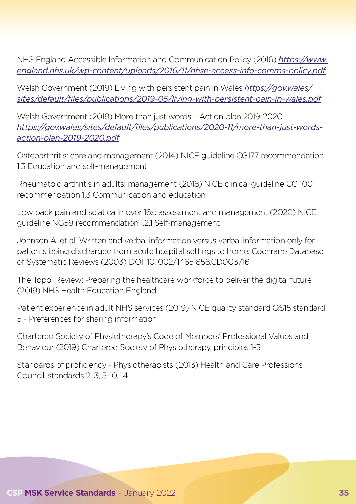NHS England Accessible Information and Communication Policy (2016) *[https://www.](https://www.england.nhs.uk/wp-content/uploads/2016/11/nhse-access-info-comms-policy.pdf) [england.nhs.uk/wp-content/uploads/2016/11/nhse-access-info-comms-policy.pdf](https://www.england.nhs.uk/wp-content/uploads/2016/11/nhse-access-info-comms-policy.pdf)*

Welsh Government (2019) Living with persistent pain in Wales *[https://gov.wales/](https://gov.wales/sites/default/files/publications/2019-05/living-with-persistent-pain-in-wales.pdf) [sites/default/files/publications/2019-05/living-with-persistent-pain-in-wales.pdf](https://gov.wales/sites/default/files/publications/2019-05/living-with-persistent-pain-in-wales.pdf)*

Welsh Government (2019) More than just words – Action plan 2019-2020 *https://gov.wales/sites/default/files/publications/2020-11/more-than-just-wordsaction-plan-2019-2020.pdf*

Osteoarthritis: care and management (2014) NICE guideline CG177 recommendation 1.3 Education and self-management

Rheumatoid arthritis in adults: management (2018) NICE clinical guideline CG 100 recommendation 1.3 Communication and education

Low back pain and sciatica in over 16s: assessment and management (2020) NICE guideline NG59 recommendation 1.2.1 Self-management

Johnson A, et al. Written and verbal information versus verbal information only for patients being discharged from acute hospital settings to home. Cochrane Database of Systematic Reviews (2003) DOI: 10.1002/14651858.CD003716

The Topol Review: Preparing the healthcare workforce to deliver the digital future (2019) NHS Health Education England

Patient experience in adult NHS services (2019) NICE quality standard QS15 standard 5 - Preferences for sharing information

Chartered Society of Physiotherapy's Code of Members' Professional Values and Behaviour (2019) Chartered Society of Physiotherapy, principles 1-3

Standards of proficiency - Physiotherapists (2013) Health and Care Professions Council, standards 2, 3, 5-10, 14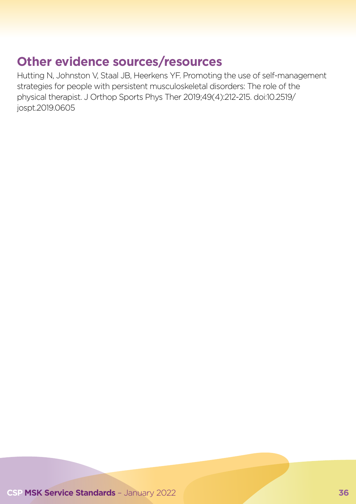# **Other evidence sources/resources**

Hutting N, Johnston V, Staal JB, Heerkens YF. Promoting the use of self-management strategies for people with persistent musculoskeletal disorders: The role of the physical therapist. J Orthop Sports Phys Ther 2019;49(4):212-215. doi:10.2519/ jospt.2019.0605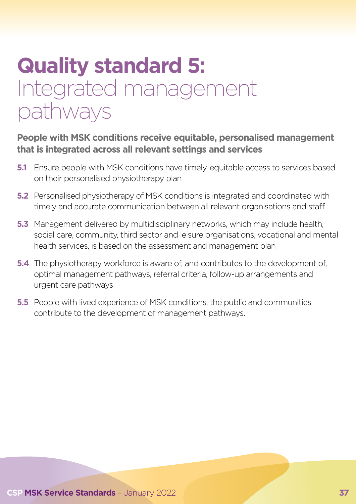# **Quality standard 5:**  Integrated management pathways

#### **People with MSK conditions receive equitable, personalised management that is integrated across all relevant settings and services**

- **5.1** Ensure people with MSK conditions have timely, equitable access to services based on their personalised physiotherapy plan
- **5.2** Personalised physiotherapy of MSK conditions is integrated and coordinated with timely and accurate communication between all relevant organisations and staff
- **5.3** Management delivered by multidisciplinary networks, which may include health, social care, community, third sector and leisure organisations, vocational and mental health services, is based on the assessment and management plan
- **5.4** The physiotherapy workforce is aware of, and contributes to the development of, optimal management pathways, referral criteria, follow-up arrangements and urgent care pathways
- **5.5** People with lived experience of MSK conditions, the public and communities contribute to the development of management pathways.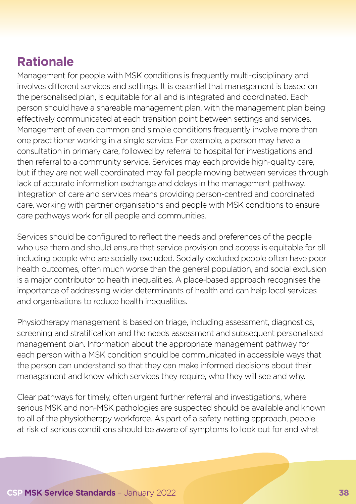## **Rationale**

Management for people with MSK conditions is frequently multi-disciplinary and involves different services and settings. It is essential that management is based on the personalised plan, is equitable for all and is integrated and coordinated. Each person should have a shareable management plan, with the management plan being effectively communicated at each transition point between settings and services. Management of even common and simple conditions frequently involve more than one practitioner working in a single service. For example, a person may have a consultation in primary care, followed by referral to hospital for investigations and then referral to a community service. Services may each provide high-quality care, but if they are not well coordinated may fail people moving between services through lack of accurate information exchange and delays in the management pathway. Integration of care and services means providing person-centred and coordinated care, working with partner organisations and people with MSK conditions to ensure care pathways work for all people and communities.

Services should be configured to reflect the needs and preferences of the people who use them and should ensure that service provision and access is equitable for all including people who are socially excluded. Socially excluded people often have poor health outcomes, often much worse than the general population, and social exclusion is a major contributor to health inequalities. A place-based approach recognises the importance of addressing wider determinants of health and can help local services and organisations to reduce health inequalities.

Physiotherapy management is based on triage, including assessment, diagnostics, screening and stratification and the needs assessment and subsequent personalised management plan. Information about the appropriate management pathway for each person with a MSK condition should be communicated in accessible ways that the person can understand so that they can make informed decisions about their management and know which services they require, who they will see and why.

Clear pathways for timely, often urgent further referral and investigations, where serious MSK and non-MSK pathologies are suspected should be available and known to all of the physiotherapy workforce. As part of a safety netting approach, people at risk of serious conditions should be aware of symptoms to look out for and what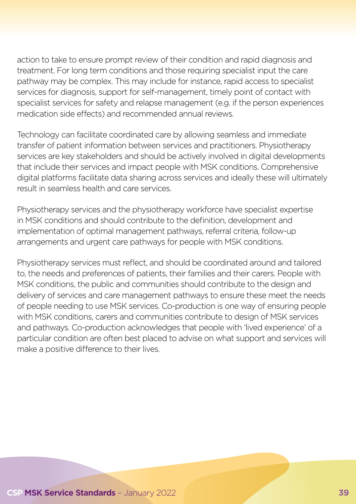action to take to ensure prompt review of their condition and rapid diagnosis and treatment. For long term conditions and those requiring specialist input the care pathway may be complex. This may include for instance, rapid access to specialist services for diagnosis, support for self-management, timely point of contact with specialist services for safety and relapse management (e.g. if the person experiences medication side effects) and recommended annual reviews.

Technology can facilitate coordinated care by allowing seamless and immediate transfer of patient information between services and practitioners. Physiotherapy services are key stakeholders and should be actively involved in digital developments that include their services and impact people with MSK conditions. Comprehensive digital platforms facilitate data sharing across services and ideally these will ultimately result in seamless health and care services.

Physiotherapy services and the physiotherapy workforce have specialist expertise in MSK conditions and should contribute to the definition, development and implementation of optimal management pathways, referral criteria, follow-up arrangements and urgent care pathways for people with MSK conditions.

Physiotherapy services must reflect, and should be coordinated around and tailored to, the needs and preferences of patients, their families and their carers. People with MSK conditions, the public and communities should contribute to the design and delivery of services and care management pathways to ensure these meet the needs of people needing to use MSK services. Co-production is one way of ensuring people with MSK conditions, carers and communities contribute to design of MSK services and pathways. Co-production acknowledges that people with 'lived experience' of a particular condition are often best placed to advise on what support and services will make a positive difference to their lives.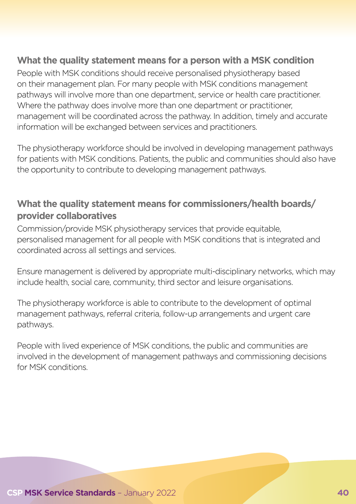#### **What the quality statement means for a person with a MSK condition**

People with MSK conditions should receive personalised physiotherapy based on their management plan. For many people with MSK conditions management pathways will involve more than one department, service or health care practitioner. Where the pathway does involve more than one department or practitioner, management will be coordinated across the pathway. In addition, timely and accurate information will be exchanged between services and practitioners.

The physiotherapy workforce should be involved in developing management pathways for patients with MSK conditions. Patients, the public and communities should also have the opportunity to contribute to developing management pathways.

#### **What the quality statement means for commissioners/health boards/ provider collaboratives**

Commission/provide MSK physiotherapy services that provide equitable, personalised management for all people with MSK conditions that is integrated and coordinated across all settings and services.

Ensure management is delivered by appropriate multi-disciplinary networks, which may include health, social care, community, third sector and leisure organisations.

The physiotherapy workforce is able to contribute to the development of optimal management pathways, referral criteria, follow-up arrangements and urgent care pathways.

People with lived experience of MSK conditions, the public and communities are involved in the development of management pathways and commissioning decisions for MSK conditions.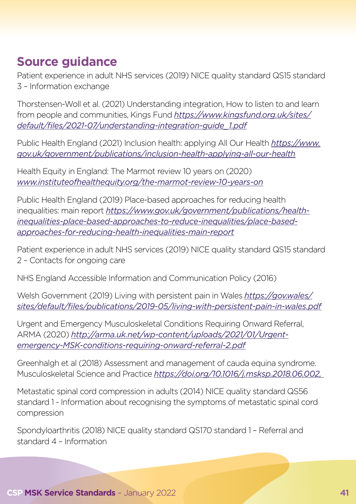## **Source guidance**

Patient experience in adult NHS services (2019) NICE quality standard QS15 standard 3 – Information exchange

Thorstensen-Woll et al. (2021) Understanding integration, How to listen to and learn from people and communities, Kings Fund *[https://www.kingsfund.org.uk/sites/](https://www.kingsfund.org.uk/sites/default/files/2021-07/understanding-integration-guide_1.pdf) [default/files/2021-07/understanding-integration-guide\\_1.pdf](https://www.kingsfund.org.uk/sites/default/files/2021-07/understanding-integration-guide_1.pdf)*

Public Health England (2021) Inclusion health: applying All Our Health *[https://www.](https://www.gov.uk/government/publications/inclusion-health-applying-all-our-health) [gov.uk/government/publications/inclusion-health-applying-all-our-health](https://www.gov.uk/government/publications/inclusion-health-applying-all-our-health)*

Health Equity in England: The Marmot review 10 years on (2020) *www.instituteofhealthequity.org/the-marmot-review-10-years-on*

Public Health England (2019) Place-based approaches for reducing health inequalities: main report *https://www.gov.uk/government/publications/healthinequalities-place-based-approaches-to-reduce-inequalities/place-basedapproaches-for-reducing-health-inequalities-main-report*

Patient experience in adult NHS services (2019) NICE quality standard QS15 standard 2 – Contacts for ongoing care

NHS England Accessible Information and Communication Policy (2016)

Welsh Government (2019) Living with persistent pain in Wales *[https://gov.wales/](https://gov.wales/sites/default/files/publications/2019-05/living-with-persistent-pain-in-wales.pdf) [sites/default/files/publications/2019-05/living-with-persistent-pain-in-wales.pdf](https://gov.wales/sites/default/files/publications/2019-05/living-with-persistent-pain-in-wales.pdf)*

Urgent and Emergency Musculoskeletal Conditions Requiring Onward Referral, ARMA (2020) *http://arma.uk.net/wp-content/uploads/2021/01/Urgentemergency-MSK-conditions-requiring-onward-referral-2.pdf*

Greenhalgh et al (2018) Assessment and management of cauda equina syndrome. Musculoskeletal Science and Practice *https://doi.org/10.1016/j.msksp.2018.06.002,* 

Metastatic spinal cord compression in adults (2014) NICE quality standard QS56 standard 1 - Information about recognising the symptoms of metastatic spinal cord compression

Spondyloarthritis (2018) NICE quality standard QS170 standard 1 – Referral and standard 4 – Information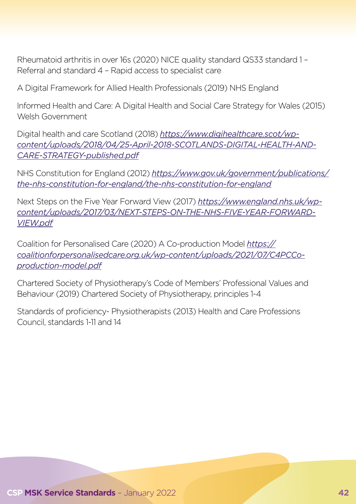Rheumatoid arthritis in over 16s (2020) NICE quality standard QS33 standard 1 – Referral and standard 4 – Rapid access to specialist care

A Digital Framework for Allied Health Professionals (2019) NHS England

Informed Health and Care: A Digital Health and Social Care Strategy for Wales (2015) Welsh Government

Digital health and care Scotland (2018) *https://www.digihealthcare.scot/wpcontent/uploads/2018/04/25-April-2018-SCOTLANDS-DIGITAL-HEALTH-AND-CARE-STRATEGY-published.pdf*

NHS Constitution for England (2012) *[https://www.gov.uk/government/publications/](https://www.gov.uk/government/publications/the-nhs-constitution-for-england/the-nhs-constitution-for-england) [the-nhs-constitution-for-england/the-nhs-constitution-for-england](https://www.gov.uk/government/publications/the-nhs-constitution-for-england/the-nhs-constitution-for-england)*

Next Steps on the Five Year Forward View (2017) *https://www.england.nhs.uk/wpcontent/uploads/2017/03/NEXT-STEPS-ON-THE-NHS-FIVE-YEAR-FORWARD-VIEW.pdf*

Coalition for Personalised Care (2020) A Co-production Model *[https://](https://coalitionforpersonalisedcare.org.uk/wp-content/uploads/2021/07/C4PCCo-production-model.pdf) [coalitionforpersonalisedcare.org.uk/wp-content/uploads/2021/07/C4PCCo](https://coalitionforpersonalisedcare.org.uk/wp-content/uploads/2021/07/C4PCCo-production-model.pdf)[production-model.pdf](https://coalitionforpersonalisedcare.org.uk/wp-content/uploads/2021/07/C4PCCo-production-model.pdf)*

Chartered Society of Physiotherapy's Code of Members' Professional Values and Behaviour (2019) Chartered Society of Physiotherapy, principles 1-4

Standards of proficiency- Physiotherapists (2013) Health and Care Professions Council, standards 1-11 and 14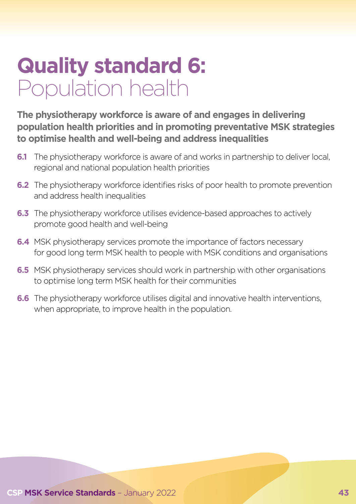# **Quality standard 6:**  Population health

**The physiotherapy workforce is aware of and engages in delivering population health priorities and in promoting preventative MSK strategies to optimise health and well-being and address inequalities**

- **6.1** The physiotherapy workforce is aware of and works in partnership to deliver local, regional and national population health priorities
- **6.2** The physiotherapy workforce identifies risks of poor health to promote prevention and address health inequalities
- **6.3** The physiotherapy workforce utilises evidence-based approaches to actively promote good health and well-being
- **6.4** MSK physiotherapy services promote the importance of factors necessary for good long term MSK health to people with MSK conditions and organisations
- **6.5** MSK physiotherapy services should work in partnership with other organisations to optimise long term MSK health for their communities
- **6.6** The physiotherapy workforce utilises digital and innovative health interventions, when appropriate, to improve health in the population.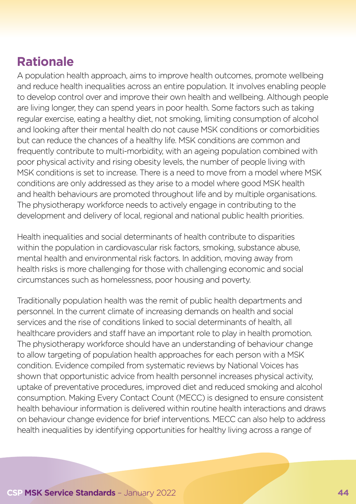## **Rationale**

A population health approach, aims to improve health outcomes, promote wellbeing and reduce health inequalities across an entire population. It involves enabling people to develop control over and improve their own health and wellbeing. Although people are living longer, they can spend years in poor health. Some factors such as taking regular exercise, eating a healthy diet, not smoking, limiting consumption of alcohol and looking after their mental health do not cause MSK conditions or comorbidities but can reduce the chances of a healthy life. MSK conditions are common and frequently contribute to multi-morbidity, with an ageing population combined with poor physical activity and rising obesity levels, the number of people living with MSK conditions is set to increase. There is a need to move from a model where MSK conditions are only addressed as they arise to a model where good MSK health and health behaviours are promoted throughout life and by multiple organisations. The physiotherapy workforce needs to actively engage in contributing to the development and delivery of local, regional and national public health priorities.

Health inequalities and social determinants of health contribute to disparities within the population in cardiovascular risk factors, smoking, substance abuse, mental health and environmental risk factors. In addition, moving away from health risks is more challenging for those with challenging economic and social circumstances such as homelessness, poor housing and poverty.

Traditionally population health was the remit of public health departments and personnel. In the current climate of increasing demands on health and social services and the rise of conditions linked to social determinants of health, all healthcare providers and staff have an important role to play in health promotion. The physiotherapy workforce should have an understanding of behaviour change to allow targeting of population health approaches for each person with a MSK condition. Evidence compiled from systematic reviews by National Voices has shown that opportunistic advice from health personnel increases physical activity, uptake of preventative procedures, improved diet and reduced smoking and alcohol consumption. Making Every Contact Count (MECC) is designed to ensure consistent health behaviour information is delivered within routine health interactions and draws on behaviour change evidence for brief interventions. MECC can also help to address health inequalities by identifying opportunities for healthy living across a range of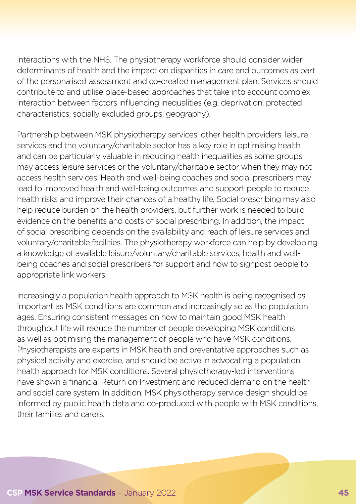interactions with the NHS. The physiotherapy workforce should consider wider determinants of health and the impact on disparities in care and outcomes as part of the personalised assessment and co-created management plan. Services should contribute to and utilise place-based approaches that take into account complex interaction between factors influencing inequalities (e.g. deprivation, protected characteristics, socially excluded groups, geography).

Partnership between MSK physiotherapy services, other health providers, leisure services and the voluntary/charitable sector has a key role in optimising health and can be particularly valuable in reducing health inequalities as some groups may access leisure services or the voluntary/charitable sector when they may not access health services. Health and well-being coaches and social prescribers may lead to improved health and well-being outcomes and support people to reduce health risks and improve their chances of a healthy life. Social prescribing may also help reduce burden on the health providers, but further work is needed to build evidence on the benefits and costs of social prescribing. In addition, the impact of social prescribing depends on the availability and reach of leisure services and voluntary/charitable facilities. The physiotherapy workforce can help by developing a knowledge of available leisure/voluntary/charitable services, health and wellbeing coaches and social prescribers for support and how to signpost people to appropriate link workers.

Increasingly a population health approach to MSK health is being recognised as important as MSK conditions are common and increasingly so as the population ages. Ensuring consistent messages on how to maintain good MSK health throughout life will reduce the number of people developing MSK conditions as well as optimising the management of people who have MSK conditions. Physiotherapists are experts in MSK health and preventative approaches such as physical activity and exercise, and should be active in advocating a population health approach for MSK conditions. Several physiotherapy-led interventions have shown a financial Return on Investment and reduced demand on the health and social care system. In addition, MSK physiotherapy service design should be informed by public health data and co-produced with people with MSK conditions, their families and carers.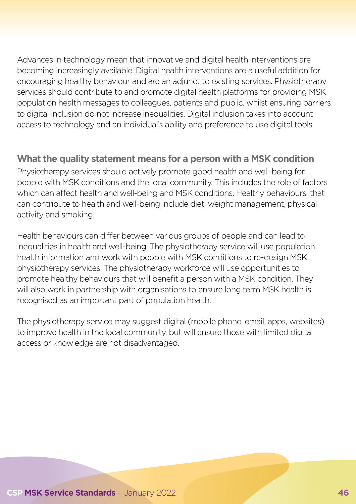Advances in technology mean that innovative and digital health interventions are becoming increasingly available. Digital health interventions are a useful addition for encouraging healthy behaviour and are an adjunct to existing services. Physiotherapy services should contribute to and promote digital health platforms for providing MSK population health messages to colleagues, patients and public, whilst ensuring barriers to digital inclusion do not increase inequalities. Digital inclusion takes into account access to technology and an individual's ability and preference to use digital tools.

#### **What the quality statement means for a person with a MSK condition**

Physiotherapy services should actively promote good health and well-being for people with MSK conditions and the local community. This includes the role of factors which can affect health and well-being and MSK conditions. Healthy behaviours, that can contribute to health and well-being include diet, weight management, physical activity and smoking.

Health behaviours can differ between various groups of people and can lead to inequalities in health and well-being. The physiotherapy service will use population health information and work with people with MSK conditions to re-design MSK physiotherapy services. The physiotherapy workforce will use opportunities to promote healthy behaviours that will benefit a person with a MSK condition. They will also work in partnership with organisations to ensure long term MSK health is recognised as an important part of population health.

The physiotherapy service may suggest digital (mobile phone, email, apps, websites) to improve health in the local community, but will ensure those with limited digital access or knowledge are not disadvantaged.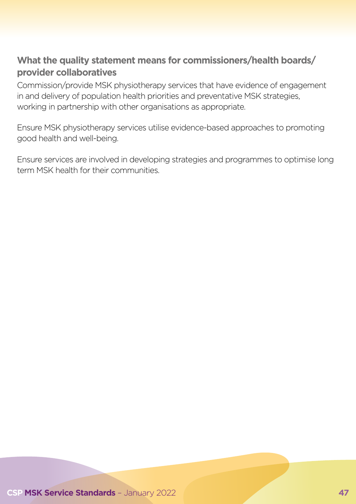#### **What the quality statement means for commissioners/health boards/ provider collaboratives**

Commission/provide MSK physiotherapy services that have evidence of engagement in and delivery of population health priorities and preventative MSK strategies, working in partnership with other organisations as appropriate.

Ensure MSK physiotherapy services utilise evidence-based approaches to promoting good health and well-being.

Ensure services are involved in developing strategies and programmes to optimise long term MSK health for their communities.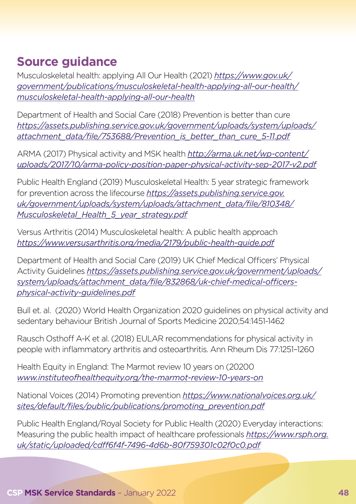## **Source guidance**

Musculoskeletal health: applying All Our Health (2021) *[https://www.gov.uk/](https://www.gov.uk/government/publications/musculoskeletal-health-applying-all-our-health/musculoskeletal-health-applying-all-our-health) [government/publications/musculoskeletal-health-applying-all-our-health/](https://www.gov.uk/government/publications/musculoskeletal-health-applying-all-our-health/musculoskeletal-health-applying-all-our-health) [musculoskeletal-health-applying-all-our-health](https://www.gov.uk/government/publications/musculoskeletal-health-applying-all-our-health/musculoskeletal-health-applying-all-our-health)*

Department of Health and Social Care (2018) Prevention is better than cure *[https://assets.publishing.service.gov.uk/government/uploads/system/uploads/](https://assets.publishing.service.gov.uk/government/uploads/system/uploads/attachment_data/file/753688/Prevention_is_better_than_cure_5-11.pdf) [attachment\\_data/file/753688/Prevention\\_is\\_better\\_than\\_cure\\_5-11.pdf](https://assets.publishing.service.gov.uk/government/uploads/system/uploads/attachment_data/file/753688/Prevention_is_better_than_cure_5-11.pdf)*

ARMA (2017) Physical activity and MSK health *[http://arma.uk.net/wp-content/](http://arma.uk.net/wp-content/uploads/2017/10/arma-policy-position-paper-physical-activity-sep-2017-v2.pdf) [uploads/2017/10/arma-policy-position-paper-physical-activity-sep-2017-v2.pdf](http://arma.uk.net/wp-content/uploads/2017/10/arma-policy-position-paper-physical-activity-sep-2017-v2.pdf)*

Public Health England (2019) Musculoskeletal Health: 5 year strategic framework for prevention across the lifecourse *[https://assets.publishing.service.gov.](https://assets.publishing.service.gov.uk/government/uploads/system/uploads/attachment_data/file/810348/Musculoskeletal_Health_5_year_strategy.pdf) [uk/government/uploads/system/uploads/attachment\\_data/file/810348/](https://assets.publishing.service.gov.uk/government/uploads/system/uploads/attachment_data/file/810348/Musculoskeletal_Health_5_year_strategy.pdf) [Musculoskeletal\\_Health\\_5\\_year\\_strategy.pdf](https://assets.publishing.service.gov.uk/government/uploads/system/uploads/attachment_data/file/810348/Musculoskeletal_Health_5_year_strategy.pdf)*

Versus Arthritis (2014) Musculoskeletal health: A public health approach *https://www.versusarthritis.org/media/2179/public-health-guide.pdf*

Department of Health and Social Care (2019) UK Chief Medical Officers' Physical Activity Guidelines *[https://assets.publishing.service.gov.uk/government/uploads/](https://assets.publishing.service.gov.uk/government/uploads/system/uploads/attachment_data/file/832868/uk-chief-medical-officers-physical-activity-guidelines.pdf) [system/uploads/attachment\\_data/file/832868/uk-chief-medical-officers](https://assets.publishing.service.gov.uk/government/uploads/system/uploads/attachment_data/file/832868/uk-chief-medical-officers-physical-activity-guidelines.pdf)[physical-activity-guidelines.pdf](https://assets.publishing.service.gov.uk/government/uploads/system/uploads/attachment_data/file/832868/uk-chief-medical-officers-physical-activity-guidelines.pdf)*

Bull et. al. (2020) World Health Organization 2020 guidelines on physical activity and sedentary behaviour British Journal of Sports Medicine 2020;54:1451-1462

Rausch Osthoff A-K et al. (2018) EULAR recommendations for physical activity in people with inflammatory arthritis and osteoarthritis. Ann Rheum Dis 77:1251–1260

Health Equity in England: The Marmot review 10 years on (20200 *<www.instituteofhealthequity.org/the-marmot-review-10-years-on>*

National Voices (2014) Promoting prevention *[https://www.nationalvoices.org.uk/](https://www.nationalvoices.org.uk/sites/default/files/public/publications/promoting_prevention.pdf) [sites/default/files/public/publications/promoting\\_prevention.pdf](https://www.nationalvoices.org.uk/sites/default/files/public/publications/promoting_prevention.pdf)*

Public Health England/Royal Society for Public Health (2020) Everyday interactions: Measuring the public health impact of healthcare professionals *[https://www.rsph.org.](https://www.rsph.org.uk/static/uploaded/cdff6f4f-7496-4d6b-80f759301c02f0c0.pdf) [uk/static/uploaded/cdff6f4f-7496-4d6b-80f759301c02f0c0.pdf](https://www.rsph.org.uk/static/uploaded/cdff6f4f-7496-4d6b-80f759301c02f0c0.pdf)*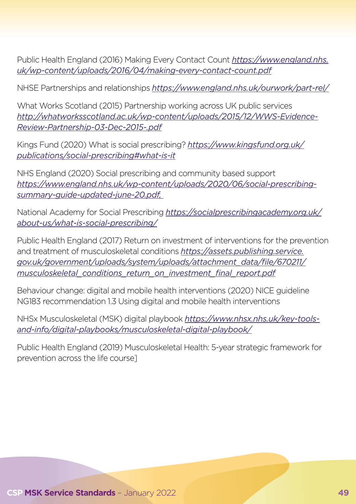Public Health England (2016) Making Every Contact Count *[https://www.england.nhs.](https://www.england.nhs.uk/wp-content/uploads/2016/04/making-every-contact-count.pdf) [uk/wp-content/uploads/2016/04/making-every-contact-count.pdf](https://www.england.nhs.uk/wp-content/uploads/2016/04/making-every-contact-count.pdf)*

NHSE Partnerships and relationships *https://www.england.nhs.uk/ourwork/part-rel/*

What Works Scotland (2015) Partnership working across UK public services *http://whatworksscotland.ac.uk/wp-content/uploads/2015/12/WWS-Evidence-Review-Partnership-03-Dec-2015-.pdf*

Kings Fund (2020) What is social prescribing? *[https://www.kingsfund.org.uk/](https://www.kingsfund.org.uk/publications/social-prescribing#what-is-it) [publications/social-prescribing#what-is-it](https://www.kingsfund.org.uk/publications/social-prescribing#what-is-it)*

NHS England (2020) Social prescribing and community based support *https://www.england.nhs.uk/wp-content/uploads/2020/06/social-prescribingsummary-guide-updated-june-20.pdf,* 

National Academy for Social Prescribing *[https://socialprescribingacademy.org.uk/](https://socialprescribingacademy.org.uk/about-us/what-is-social-prescribing/) [about-us/what-is-social-prescribing/](https://socialprescribingacademy.org.uk/about-us/what-is-social-prescribing/)*

Public Health England (2017) Return on investment of interventions for the prevention and treatment of musculoskeletal conditions *[https://assets.publishing.service.](https://assets.publishing.service.gov.uk/government/uploads/system/uploads/attachment_data/file/670211/musculoskeletal_conditions_return_on_investment_final_report.pdf) [gov.uk/government/uploads/system/uploads/attachment\\_data/file/670211/](https://assets.publishing.service.gov.uk/government/uploads/system/uploads/attachment_data/file/670211/musculoskeletal_conditions_return_on_investment_final_report.pdf) [musculoskeletal\\_conditions\\_return\\_on\\_investment\\_final\\_report.pdf](https://assets.publishing.service.gov.uk/government/uploads/system/uploads/attachment_data/file/670211/musculoskeletal_conditions_return_on_investment_final_report.pdf)*

Behaviour change: digital and mobile health interventions (2020) NICE guideline NG183 recommendation 1.3 Using digital and mobile health interventions

NHSx Musculoskeletal (MSK) digital playbook *[https://www.nhsx.nhs.uk/key-tools](https://www.nhsx.nhs.uk/key-tools-and-info/digital-playbooks/musculoskeletal-digital-playbook/)[and-info/digital-playbooks/musculoskeletal-digital-playbook/](https://www.nhsx.nhs.uk/key-tools-and-info/digital-playbooks/musculoskeletal-digital-playbook/)*

Public Health England (2019) Musculoskeletal Health: 5-year strategic framework for prevention across the life course]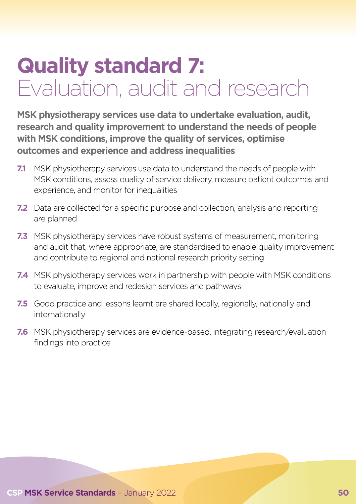# **Quality standard 7:**  Evaluation, audit and research

**MSK physiotherapy services use data to undertake evaluation, audit, research and quality improvement to understand the needs of people with MSK conditions, improve the quality of services, optimise outcomes and experience and address inequalities**

- **7.1** MSK physiotherapy services use data to understand the needs of people with MSK conditions, assess quality of service delivery, measure patient outcomes and experience, and monitor for inequalities
- **7.2** Data are collected for a specific purpose and collection, analysis and reporting are planned
- **7.3** MSK physiotherapy services have robust systems of measurement, monitoring and audit that, where appropriate, are standardised to enable quality improvement and contribute to regional and national research priority setting
- **7.4** MSK physiotherapy services work in partnership with people with MSK conditions to evaluate, improve and redesign services and pathways
- **7.5** Good practice and lessons learnt are shared locally, regionally, nationally and internationally
- **7.6** MSK physiotherapy services are evidence-based, integrating research/evaluation findings into practice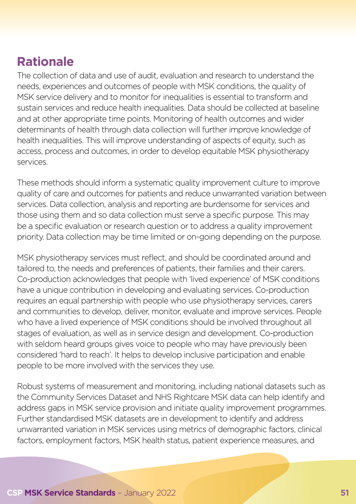## **Rationale**

The collection of data and use of audit, evaluation and research to understand the needs, experiences and outcomes of people with MSK conditions, the quality of MSK service delivery and to monitor for inequalities is essential to transform and sustain services and reduce health inequalities. Data should be collected at baseline and at other appropriate time points. Monitoring of health outcomes and wider determinants of health through data collection will further improve knowledge of health inequalities. This will improve understanding of aspects of equity, such as access, process and outcomes, in order to develop equitable MSK physiotherapy services.

These methods should inform a systematic quality improvement culture to improve quality of care and outcomes for patients and reduce unwarranted variation between services. Data collection, analysis and reporting are burdensome for services and those using them and so data collection must serve a specific purpose. This may be a specific evaluation or research question or to address a quality improvement priority. Data collection may be time limited or on-going depending on the purpose.

MSK physiotherapy services must reflect, and should be coordinated around and tailored to, the needs and preferences of patients, their families and their carers. Co-production acknowledges that people with 'lived experience' of MSK conditions have a unique contribution in developing and evaluating services. Co-production requires an equal partnership with people who use physiotherapy services, carers and communities to develop, deliver, monitor, evaluate and improve services. People who have a lived experience of MSK conditions should be involved throughout all stages of evaluation, as well as in service design and development. Co-production with seldom heard groups gives voice to people who may have previously been considered 'hard to reach'. It helps to develop inclusive participation and enable people to be more involved with the services they use.

Robust systems of measurement and monitoring, including national datasets such as the Community Services Dataset and NHS Rightcare MSK data can help identify and address gaps in MSK service provision and initiate quality improvement programmes. Further standardised MSK datasets are in development to identify and address unwarranted variation in MSK services using metrics of demographic factors, clinical factors, employment factors, MSK health status, patient experience measures, and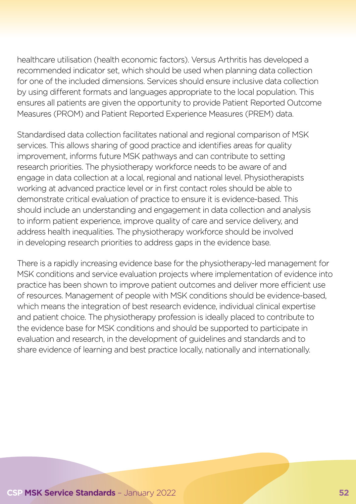healthcare utilisation (health economic factors). Versus Arthritis has developed a recommended indicator set, which should be used when planning data collection for one of the included dimensions. Services should ensure inclusive data collection by using different formats and languages appropriate to the local population. This ensures all patients are given the opportunity to provide Patient Reported Outcome Measures (PROM) and Patient Reported Experience Measures (PREM) data.

Standardised data collection facilitates national and regional comparison of MSK services. This allows sharing of good practice and identifies areas for quality improvement, informs future MSK pathways and can contribute to setting research priorities. The physiotherapy workforce needs to be aware of and engage in data collection at a local, regional and national level. Physiotherapists working at advanced practice level or in first contact roles should be able to demonstrate critical evaluation of practice to ensure it is evidence-based. This should include an understanding and engagement in data collection and analysis to inform patient experience, improve quality of care and service delivery, and address health inequalities. The physiotherapy workforce should be involved in developing research priorities to address gaps in the evidence base.

There is a rapidly increasing evidence base for the physiotherapy-led management for MSK conditions and service evaluation projects where implementation of evidence into practice has been shown to improve patient outcomes and deliver more efficient use of resources. Management of people with MSK conditions should be evidence-based, which means the integration of best research evidence, individual clinical expertise and patient choice. The physiotherapy profession is ideally placed to contribute to the evidence base for MSK conditions and should be supported to participate in evaluation and research, in the development of guidelines and standards and to share evidence of learning and best practice locally, nationally and internationally.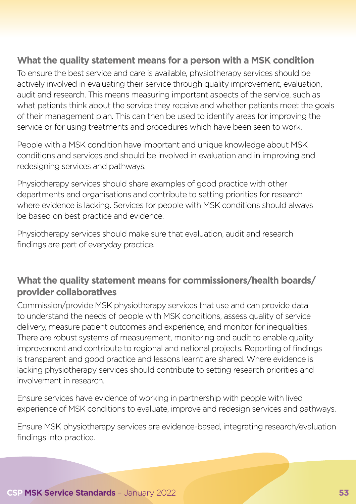#### **What the quality statement means for a person with a MSK condition**

To ensure the best service and care is available, physiotherapy services should be actively involved in evaluating their service through quality improvement, evaluation, audit and research. This means measuring important aspects of the service, such as what patients think about the service they receive and whether patients meet the goals of their management plan. This can then be used to identify areas for improving the service or for using treatments and procedures which have been seen to work.

People with a MSK condition have important and unique knowledge about MSK conditions and services and should be involved in evaluation and in improving and redesigning services and pathways.

Physiotherapy services should share examples of good practice with other departments and organisations and contribute to setting priorities for research where evidence is lacking. Services for people with MSK conditions should always be based on best practice and evidence.

Physiotherapy services should make sure that evaluation, audit and research findings are part of everyday practice.

#### **What the quality statement means for commissioners/health boards/ provider collaboratives**

Commission/provide MSK physiotherapy services that use and can provide data to understand the needs of people with MSK conditions, assess quality of service delivery, measure patient outcomes and experience, and monitor for inequalities. There are robust systems of measurement, monitoring and audit to enable quality improvement and contribute to regional and national projects. Reporting of findings is transparent and good practice and lessons learnt are shared. Where evidence is lacking physiotherapy services should contribute to setting research priorities and involvement in research.

Ensure services have evidence of working in partnership with people with lived experience of MSK conditions to evaluate, improve and redesign services and pathways.

Ensure MSK physiotherapy services are evidence-based, integrating research/evaluation findings into practice.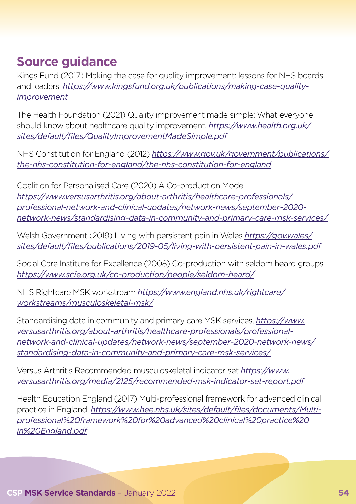## **Source guidance**

Kings Fund (2017) Making the case for quality improvement: lessons for NHS boards and leaders. *[https://www.kingsfund.org.uk/publications/making-case-quality](https://www.kingsfund.org.uk/publications/making-case-quality-improvement)[improvement](https://www.kingsfund.org.uk/publications/making-case-quality-improvement)*

The Health Foundation (2021) Quality improvement made simple: What everyone should know about healthcare quality improvement. *[https://www.health.org.uk/](https://www.health.org.uk/sites/default/files/QualityImprovementMadeSimple.pdf) [sites/default/files/QualityImprovementMadeSimple.pdf](https://www.health.org.uk/sites/default/files/QualityImprovementMadeSimple.pdf)*

NHS Constitution for England (2012) *[https://www.gov.uk/government/publications/](https://www.gov.uk/government/publications/the-nhs-constitution-for-england/the-nhs-constitution-for-england) [the-nhs-constitution-for-england/the-nhs-constitution-for-england](https://www.gov.uk/government/publications/the-nhs-constitution-for-england/the-nhs-constitution-for-england)*

Coalition for Personalised Care (2020) A Co-production Model *[https://www.versusarthritis.org/about-arthritis/healthcare-professionals/](https://www.versusarthritis.org/about-arthritis/healthcare-professionals/professional-network-and-clinical-updates/network-news/september-2020-network-news/standardising-data-in-community-and-primary-care-msk-services/) [professional-network-and-clinical-updates/network-news/september-2020](https://www.versusarthritis.org/about-arthritis/healthcare-professionals/professional-network-and-clinical-updates/network-news/september-2020-network-news/standardising-data-in-community-and-primary-care-msk-services/) [network-news/standardising-data-in-community-and-primary-care-msk-services/](https://www.versusarthritis.org/about-arthritis/healthcare-professionals/professional-network-and-clinical-updates/network-news/september-2020-network-news/standardising-data-in-community-and-primary-care-msk-services/)*

Welsh Government (2019) Living with persistent pain in Wales *[https://gov.wales/](https://gov.wales/sites/default/files/publications/2019-05/living-with-persistent-pain-in-wales.pdf) [sites/default/files/publications/2019-05/living-with-persistent-pain-in-wales.pdf](https://gov.wales/sites/default/files/publications/2019-05/living-with-persistent-pain-in-wales.pdf)*

Social Care Institute for Excellence (2008) Co-production with seldom heard groups *<https://www.scie.org.uk/co-production/people/seldom-heard/>*

NHS Rightcare MSK workstream *[https://www.england.nhs.uk/rightcare/](https://www.england.nhs.uk/rightcare/workstreams/musculoskeletal-msk/) [workstreams/musculoskeletal-msk/](https://www.england.nhs.uk/rightcare/workstreams/musculoskeletal-msk/)*

Standardising data in community and primary care MSK services, *[https://www.](https://www.versusarthritis.org/about-arthritis/healthcare-professionals/professional-network-and-clinical-updates/network-news/september-2020-network-news/standardising-data-in-community-and-primary-care-msk-services/) [versusarthritis.org/about-arthritis/healthcare-professionals/professional](https://www.versusarthritis.org/about-arthritis/healthcare-professionals/professional-network-and-clinical-updates/network-news/september-2020-network-news/standardising-data-in-community-and-primary-care-msk-services/)[network-and-clinical-updates/network-news/september-2020-network-news/](https://www.versusarthritis.org/about-arthritis/healthcare-professionals/professional-network-and-clinical-updates/network-news/september-2020-network-news/standardising-data-in-community-and-primary-care-msk-services/) [standardising-data-in-community-and-primary-care-msk-services/](https://www.versusarthritis.org/about-arthritis/healthcare-professionals/professional-network-and-clinical-updates/network-news/september-2020-network-news/standardising-data-in-community-and-primary-care-msk-services/)*

Versus Arthritis Recommended musculoskeletal indicator set *[https://www.](https://www.versusarthritis.org/media/2125/recommended-msk-indicator-set-report.pdf) [versusarthritis.org/media/2125/recommended-msk-indicator-set-report.pdf](https://www.versusarthritis.org/media/2125/recommended-msk-indicator-set-report.pdf)*

Health Education England (2017) Multi-professional framework for advanced clinical practice in England. *[https://www.hee.nhs.uk/sites/default/files/documents/Multi](https://www.hee.nhs.uk/sites/default/files/documents/Multi-professional%20framework%20for%20advanced%20clinical%20practice%20in%20England.pdf)[professional%20framework%20for%20advanced%20clinical%20practice%20](https://www.hee.nhs.uk/sites/default/files/documents/Multi-professional%20framework%20for%20advanced%20clinical%20practice%20in%20England.pdf) [in%20England.pdf](https://www.hee.nhs.uk/sites/default/files/documents/Multi-professional%20framework%20for%20advanced%20clinical%20practice%20in%20England.pdf)*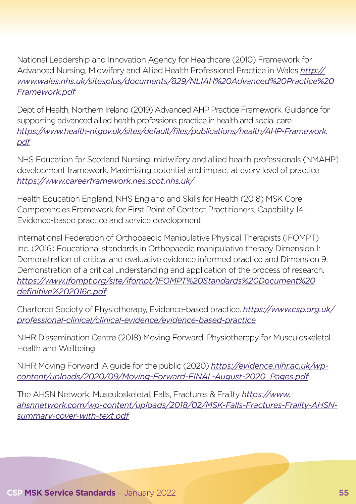National Leadership and Innovation Agency for Healthcare (2010) Framework for Advanced Nursing, Midwifery and Allied Health Professional Practice in Wales *[http://](http://www.wales.nhs.uk/sitesplus/documents/829/NLIAH%20Advanced%20Practice%20Framework.pdf) [www.wales.nhs.uk/sitesplus/documents/829/NLIAH%20Advanced%20Practice%20](http://www.wales.nhs.uk/sitesplus/documents/829/NLIAH%20Advanced%20Practice%20Framework.pdf) [Framework.pdf](http://www.wales.nhs.uk/sitesplus/documents/829/NLIAH%20Advanced%20Practice%20Framework.pdf)*

Dept of Health, Northern Ireland (2019) Advanced AHP Practice Framework. Guidance for supporting advanced allied health professions practice in health and social care. *[https://www.health-ni.gov.uk/sites/default/files/publications/health/AHP-Framework.](https://www.health-ni.gov.uk/sites/default/files/publications/health/AHP-Framework.pdf) [pdf](https://www.health-ni.gov.uk/sites/default/files/publications/health/AHP-Framework.pdf)*

NHS Education for Scotland Nursing, midwifery and allied health professionals (NMAHP) development framework. Maximising potential and impact at every level of practice *https://www.careerframework.nes.scot.nhs.uk/*

Health Education England, NHS England and Skills for Health (2018) MSK Core Competencies Framework for First Point of Contact Practitioners, Capability 14. Evidence-based practice and service development

International Federation of Orthopaedic Manipulative Physical Therapists (IFOMPT) Inc. (2016) Educational standards in Orthopaedic manipulative therapy Dimension 1: Demonstration of critical and evaluative evidence informed practice and Dimension 9: Demonstration of a critical understanding and application of the process of research. *[https://www.ifompt.org/site/ifompt/IFOMPT%20Standards%20Document%20](https://www.ifompt.org/site/ifompt/IFOMPT%20Standards%20Document%20definitive%202016c.pdf) [definitive%202016c.pdf](https://www.ifompt.org/site/ifompt/IFOMPT%20Standards%20Document%20definitive%202016c.pdf)*

Chartered Society of Physiotherapy, Evidence-based practice. *[https://www.csp.org.uk/](https://www.csp.org.uk/professional-clinical/clinical-evidence/evidence-based-practice) [professional-clinical/clinical-evidence/evidence-based-practice](https://www.csp.org.uk/professional-clinical/clinical-evidence/evidence-based-practice)*

NIHR Dissemination Centre (2018) Moving Forward: Physiotherapy for Musculoskeletal Health and Wellbeing

NIHR Moving Forward: A guide for the public (2020) *https://evidence.nihr.ac.uk/wpcontent/uploads/2020/09/Moving-Forward-FINAL-August-2020\_Pages.pdf*

The AHSN Network, Musculoskeletal, Falls, Fractures & Frailty *[https://www.](https://www.ahsnnetwork.com/wp-content/uploads/2018/02/MSK-Falls-Fractures-Frailty-AHSN-summary-cover-with-text.pdf) [ahsnnetwork.com/wp-content/uploads/2018/02/MSK-Falls-Fractures-Frailty-AHSN](https://www.ahsnnetwork.com/wp-content/uploads/2018/02/MSK-Falls-Fractures-Frailty-AHSN-summary-cover-with-text.pdf)[summary-cover-with-text.pdf](https://www.ahsnnetwork.com/wp-content/uploads/2018/02/MSK-Falls-Fractures-Frailty-AHSN-summary-cover-with-text.pdf)*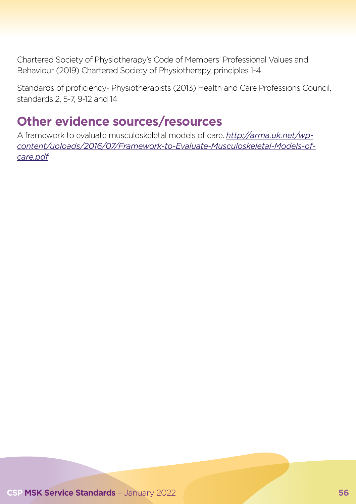Chartered Society of Physiotherapy's Code of Members' Professional Values and Behaviour (2019) Chartered Society of Physiotherapy, principles 1-4

Standards of proficiency- Physiotherapists (2013) Health and Care Professions Council, standards 2, 5-7, 9-12 and 14

### **Other evidence sources/resources**

A framework to evaluate musculoskeletal models of care. *http://arma.uk.net/wpcontent/uploads/2016/07/Framework-to-Evaluate-Musculoskeletal-Models-ofcare.pdf*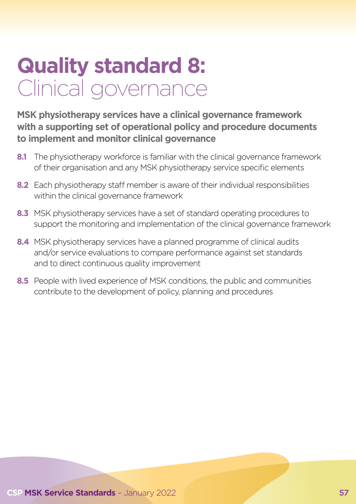# **Quality standard 8:**  Clinical governance

**MSK physiotherapy services have a clinical governance framework with a supporting set of operational policy and procedure documents to implement and monitor clinical governance**

- **8.1** The physiotherapy workforce is familiar with the clinical governance framework of their organisation and any MSK physiotherapy service specific elements
- **8.2** Each physiotherapy staff member is aware of their individual responsibilities within the clinical governance framework
- **8.3** MSK physiotherapy services have a set of standard operating procedures to support the monitoring and implementation of the clinical governance framework
- **8.4** MSK physiotherapy services have a planned programme of clinical audits and/or service evaluations to compare performance against set standards and to direct continuous quality improvement
- **8.5** People with lived experience of MSK conditions, the public and communities contribute to the development of policy, planning and procedures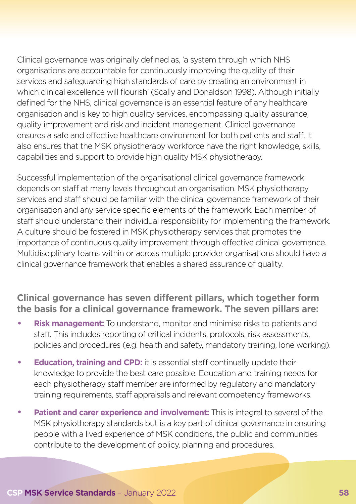Clinical governance was originally defined as, 'a system through which NHS organisations are accountable for continuously improving the quality of their services and safeguarding high standards of care by creating an environment in which clinical excellence will flourish' (Scally and Donaldson 1998). Although initially defined for the NHS, clinical governance is an essential feature of any healthcare organisation and is key to high quality services, encompassing quality assurance, quality improvement and risk and incident management. Clinical governance ensures a safe and effective healthcare environment for both patients and staff. It also ensures that the MSK physiotherapy workforce have the right knowledge, skills, capabilities and support to provide high quality MSK physiotherapy.

Successful implementation of the organisational clinical governance framework depends on staff at many levels throughout an organisation. MSK physiotherapy services and staff should be familiar with the clinical governance framework of their organisation and any service specific elements of the framework. Each member of staff should understand their individual responsibility for implementing the framework. A culture should be fostered in MSK physiotherapy services that promotes the importance of continuous quality improvement through effective clinical governance. Multidisciplinary teams within or across multiple provider organisations should have a clinical governance framework that enables a shared assurance of quality.

#### **Clinical governance has seven different pillars, which together form the basis for a clinical governance framework. The seven pillars are:**

- **Risk management:** To understand, monitor and minimise risks to patients and staff. This includes reporting of critical incidents, protocols, risk assessments, policies and procedures (e.g. health and safety, mandatory training, lone working).
- **Education, training and CPD:** it is essential staff continually update their knowledge to provide the best care possible. Education and training needs for each physiotherapy staff member are informed by regulatory and mandatory training requirements, staff appraisals and relevant competency frameworks.
- **Patient and carer experience and involvement:** This is integral to several of the MSK physiotherapy standards but is a key part of clinical governance in ensuring people with a lived experience of MSK conditions, the public and communities contribute to the development of policy, planning and procedures.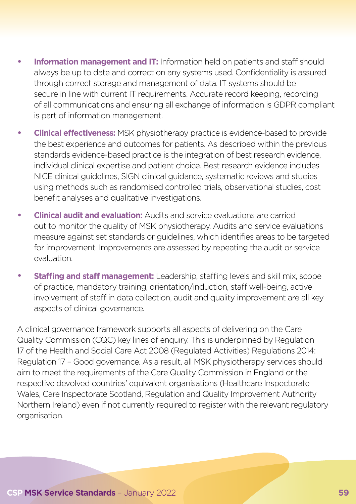- **Information management and IT:** Information held on patients and staff should always be up to date and correct on any systems used. Confidentiality is assured through correct storage and management of data. IT systems should be secure in line with current IT requirements. Accurate record keeping, recording of all communications and ensuring all exchange of information is GDPR compliant is part of information management.
- **Clinical effectiveness:** MSK physiotherapy practice is evidence-based to provide the best experience and outcomes for patients. As described within the previous standards evidence-based practice is the integration of best research evidence, individual clinical expertise and patient choice. Best research evidence includes NICE clinical guidelines, SIGN clinical guidance, systematic reviews and studies using methods such as randomised controlled trials, observational studies, cost benefit analyses and qualitative investigations.
- **Clinical audit and evaluation:** Audits and service evaluations are carried out to monitor the quality of MSK physiotherapy. Audits and service evaluations measure against set standards or guidelines, which identifies areas to be targeted for improvement. Improvements are assessed by repeating the audit or service evaluation.
- **Staffing and staff management:** Leadership, staffing levels and skill mix, scope of practice, mandatory training, orientation/induction, staff well-being, active involvement of staff in data collection, audit and quality improvement are all key aspects of clinical governance.

A clinical governance framework supports all aspects of delivering on the Care Quality Commission (CQC) key lines of enquiry. This is underpinned by Regulation 17 of the Health and Social Care Act 2008 (Regulated Activities) Regulations 2014: Regulation 17 – Good governance. As a result, all MSK physiotherapy services should aim to meet the requirements of the Care Quality Commission in England or the respective devolved countries' equivalent organisations (Healthcare Inspectorate Wales, Care Inspectorate Scotland, Regulation and Quality Improvement Authority Northern Ireland) even if not currently required to register with the relevant regulatory organisation.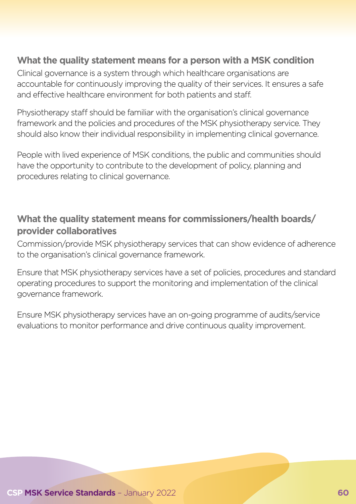#### **What the quality statement means for a person with a MSK condition**

Clinical governance is a system through which healthcare organisations are accountable for continuously improving the quality of their services. It ensures a safe and effective healthcare environment for both patients and staff.

Physiotherapy staff should be familiar with the organisation's clinical governance framework and the policies and procedures of the MSK physiotherapy service. They should also know their individual responsibility in implementing clinical governance.

People with lived experience of MSK conditions, the public and communities should have the opportunity to contribute to the development of policy, planning and procedures relating to clinical governance.

#### **What the quality statement means for commissioners/health boards/ provider collaboratives**

Commission/provide MSK physiotherapy services that can show evidence of adherence to the organisation's clinical governance framework.

Ensure that MSK physiotherapy services have a set of policies, procedures and standard operating procedures to support the monitoring and implementation of the clinical governance framework.

Ensure MSK physiotherapy services have an on-going programme of audits/service evaluations to monitor performance and drive continuous quality improvement.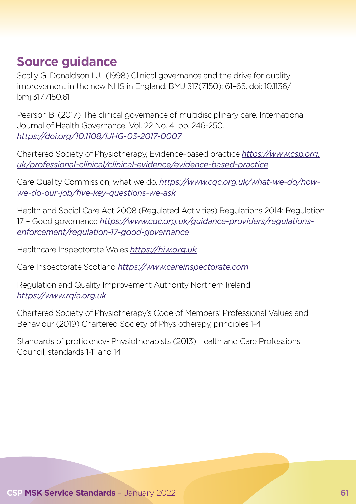### **Source guidance**

Scally G, Donaldson LJ. (1998) Clinical governance and the drive for quality improvement in the new NHS in England. BMJ 317(7150): 61–65. doi: 10.1136/ bmj.317.7150.61

Pearson B. (2017) The clinical governance of multidisciplinary care. International Journal of Health Governance, Vol. 22 No. 4, pp. 246-250. *https://doi.org/10.1108/IJHG-03-2017-0007*

Chartered Society of Physiotherapy, Evidence-based practice *[https://www.csp.org.](https://www.csp.org.uk/professional-clinical/clinical-evidence/evidence-based-practice) [uk/professional-clinical/clinical-evidence/evidence-based-practice](https://www.csp.org.uk/professional-clinical/clinical-evidence/evidence-based-practice)*

Care Quality Commission, what we do. *https://www.cqc.org.uk/what-we-do/howwe-do-our-job/five-key-questions-we-ask*

Health and Social Care Act 2008 (Regulated Activities) Regulations 2014: Regulation 17 – Good governance *https://www.cqc.org.uk/guidance-providers/regulationsenforcement/regulation-17-good-governance*

Healthcare Inspectorate Wales *https://hiw.org.uk*

Care Inspectorate Scotland *https://www.careinspectorate.com*

Regulation and Quality Improvement Authority Northern Ireland *https://www.rqia.org.uk*

Chartered Society of Physiotherapy's Code of Members' Professional Values and Behaviour (2019) Chartered Society of Physiotherapy, principles 1-4

Standards of proficiency- Physiotherapists (2013) Health and Care Professions Council, standards 1-11 and 14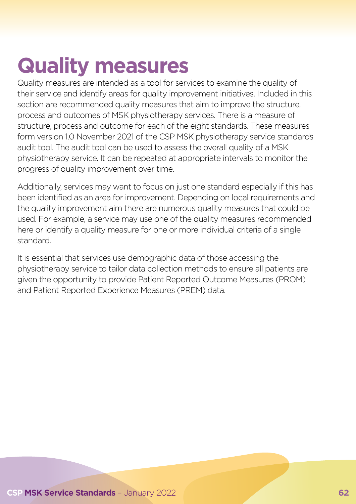# **Quality measures**

Quality measures are intended as a tool for services to examine the quality of their service and identify areas for quality improvement initiatives. Included in this section are recommended quality measures that aim to improve the structure, process and outcomes of MSK physiotherapy services. There is a measure of structure, process and outcome for each of the eight standards. These measures form version 1.0 November 2021 of the CSP MSK physiotherapy service standards audit tool. The audit tool can be used to assess the overall quality of a MSK physiotherapy service. It can be repeated at appropriate intervals to monitor the progress of quality improvement over time.

Additionally, services may want to focus on just one standard especially if this has been identified as an area for improvement. Depending on local requirements and the quality improvement aim there are numerous quality measures that could be used. For example, a service may use one of the quality measures recommended here or identify a quality measure for one or more individual criteria of a single standard.

It is essential that services use demographic data of those accessing the physiotherapy service to tailor data collection methods to ensure all patients are given the opportunity to provide Patient Reported Outcome Measures (PROM) and Patient Reported Experience Measures (PREM) data.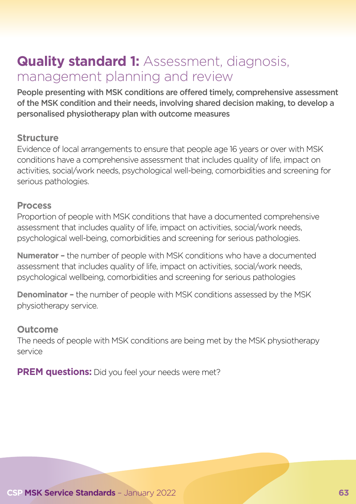## **Quality standard 1:** Assessment, diagnosis, management planning and review

People presenting with MSK conditions are offered timely, comprehensive assessment of the MSK condition and their needs, involving shared decision making, to develop a personalised physiotherapy plan with outcome measures

#### **Structure**

Evidence of local arrangements to ensure that people age 16 years or over with MSK conditions have a comprehensive assessment that includes quality of life, impact on activities, social/work needs, psychological well-being, comorbidities and screening for serious pathologies.

#### **Process**

Proportion of people with MSK conditions that have a documented comprehensive assessment that includes quality of life, impact on activities, social/work needs, psychological well-being, comorbidities and screening for serious pathologies.

**Numerator –** the number of people with MSK conditions who have a documented assessment that includes quality of life, impact on activities, social/work needs, psychological wellbeing, comorbidities and screening for serious pathologies

**Denominator –** the number of people with MSK conditions assessed by the MSK physiotherapy service.

#### **Outcome**

The needs of people with MSK conditions are being met by the MSK physiotherapy service

**PREM questions:** Did you feel your needs were met?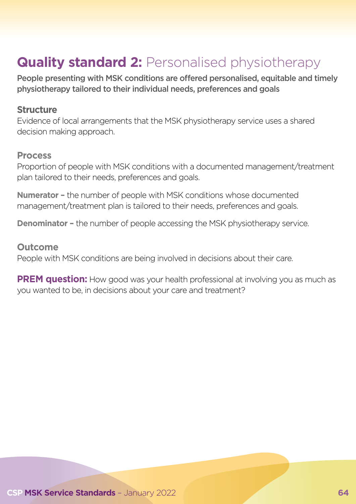# **Quality standard 2: Personalised physiotherapy**

People presenting with MSK conditions are offered personalised, equitable and timely physiotherapy tailored to their individual needs, preferences and goals

#### **Structure**

Evidence of local arrangements that the MSK physiotherapy service uses a shared decision making approach.

#### **Process**

Proportion of people with MSK conditions with a documented management/treatment plan tailored to their needs, preferences and goals.

**Numerator –** the number of people with MSK conditions whose documented management/treatment plan is tailored to their needs, preferences and goals.

**Denominator -** the number of people accessing the MSK physiotherapy service.

#### **Outcome**

People with MSK conditions are being involved in decisions about their care.

**PREM question:** How good was your health professional at involving you as much as you wanted to be, in decisions about your care and treatment?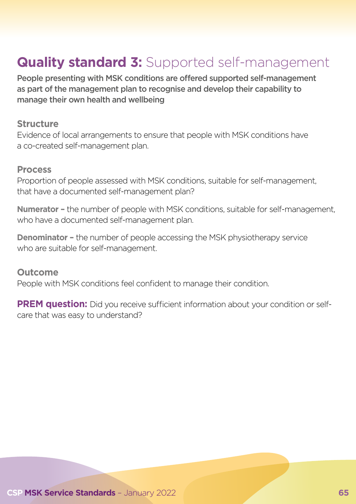# **Quality standard 3:** Supported self-management

People presenting with MSK conditions are offered supported self-management as part of the management plan to recognise and develop their capability to manage their own health and wellbeing

#### **Structure**

Evidence of local arrangements to ensure that people with MSK conditions have a co-created self-management plan.

#### **Process**

Proportion of people assessed with MSK conditions, suitable for self-management, that have a documented self-management plan?

**Numerator –** the number of people with MSK conditions, suitable for self-management, who have a documented self-management plan.

**Denominator -** the number of people accessing the MSK physiotherapy service who are suitable for self-management.

**Outcome** People with MSK conditions feel confident to manage their condition.

**PREM question:** Did you receive sufficient information about your condition or selfcare that was easy to understand?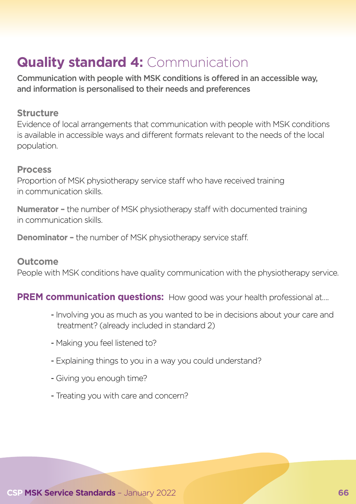# **Quality standard 4: Communication**

Communication with people with MSK conditions is offered in an accessible way, and information is personalised to their needs and preferences

#### **Structure**

Evidence of local arrangements that communication with people with MSK conditions is available in accessible ways and different formats relevant to the needs of the local population.

#### **Process**

Proportion of MSK physiotherapy service staff who have received training in communication skills.

**Numerator –** the number of MSK physiotherapy staff with documented training in communication skills.

**Denominator –** the number of MSK physiotherapy service staff.

#### **Outcome**

People with MSK conditions have quality communication with the physiotherapy service.

#### **PREM communication questions:** How good was your health professional at....

- Involving you as much as you wanted to be in decisions about your care and treatment? (already included in standard 2)
- Making you feel listened to?
- Explaining things to you in a way you could understand?
- Giving you enough time?
- Treating you with care and concern?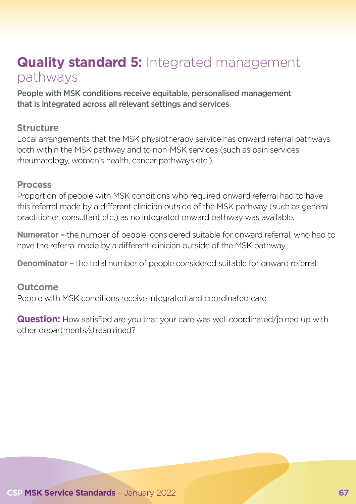## **Quality standard 5:** Integrated management pathways

People with MSK conditions receive equitable, personalised management that is integrated across all relevant settings and services

#### **Structure**

Local arrangements that the MSK physiotherapy service has onward referral pathways both within the MSK pathway and to non-MSK services (such as pain services, rheumatology, women's health, cancer pathways etc.).

#### **Process**

Proportion of people with MSK conditions who required onward referral had to have this referral made by a different clinician outside of the MSK pathway (such as general practitioner, consultant etc.) as no integrated onward pathway was available.

**Numerator –** the number of people, considered suitable for onward referral, who had to have the referral made by a different clinician outside of the MSK pathway.

**Denominator –** the total number of people considered suitable for onward referral.

#### **Outcome**

People with MSK conditions receive integrated and coordinated care.

**Question:** How satisfied are you that your care was well coordinated/joined up with other departments/streamlined?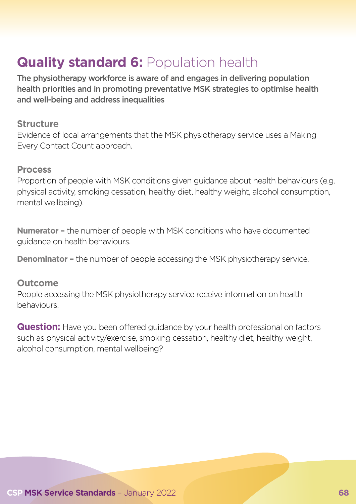## **Quality standard 6: Population health**

The physiotherapy workforce is aware of and engages in delivering population health priorities and in promoting preventative MSK strategies to optimise health and well-being and address inequalities

#### **Structure**

Evidence of local arrangements that the MSK physiotherapy service uses a Making Every Contact Count approach.

#### **Process**

Proportion of people with MSK conditions given guidance about health behaviours (e.g. physical activity, smoking cessation, healthy diet, healthy weight, alcohol consumption, mental wellbeing).

**Numerator –** the number of people with MSK conditions who have documented guidance on health behaviours.

**Denominator –** the number of people accessing the MSK physiotherapy service.

#### **Outcome**

People accessing the MSK physiotherapy service receive information on health behaviours.

**Question:** Have you been offered quidance by your health professional on factors such as physical activity/exercise, smoking cessation, healthy diet, healthy weight, alcohol consumption, mental wellbeing?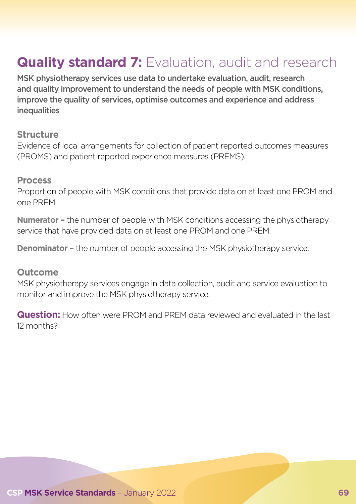# **Quality standard 7:** Evaluation, audit and research

MSK physiotherapy services use data to undertake evaluation, audit, research and quality improvement to understand the needs of people with MSK conditions, improve the quality of services, optimise outcomes and experience and address **inequalities** 

#### **Structure**

Evidence of local arrangements for collection of patient reported outcomes measures (PROMS) and patient reported experience measures (PREMS).

#### **Process**

Proportion of people with MSK conditions that provide data on at least one PROM and one PREM.

**Numerator –** the number of people with MSK conditions accessing the physiotherapy service that have provided data on at least one PROM and one PREM.

**Denominator –** the number of people accessing the MSK physiotherapy service.

#### **Outcome**

MSK physiotherapy services engage in data collection, audit and service evaluation to monitor and improve the MSK physiotherapy service.

**Question:** How often were PROM and PREM data reviewed and evaluated in the last 12 months?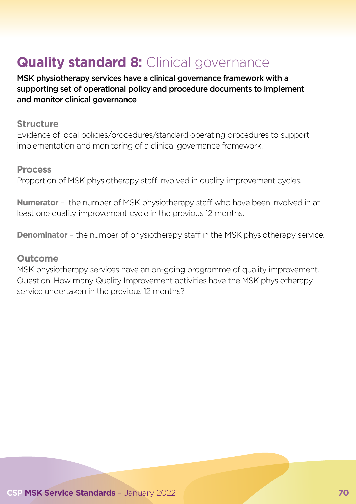# **Quality standard 8: Clinical governance**

MSK physiotherapy services have a clinical governance framework with a supporting set of operational policy and procedure documents to implement and monitor clinical governance

#### **Structure**

Evidence of local policies/procedures/standard operating procedures to support implementation and monitoring of a clinical governance framework.

#### **Process**

Proportion of MSK physiotherapy staff involved in quality improvement cycles.

**Numerator** – the number of MSK physiotherapy staff who have been involved in at least one quality improvement cycle in the previous 12 months.

**Denominator** - the number of physiotherapy staff in the MSK physiotherapy service.

#### **Outcome**

MSK physiotherapy services have an on-going programme of quality improvement. Question: How many Quality Improvement activities have the MSK physiotherapy service undertaken in the previous 12 months?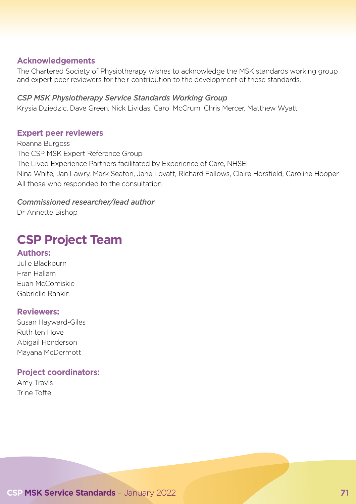#### **Acknowledgements**

The Chartered Society of Physiotherapy wishes to acknowledge the MSK standards working group and expert peer reviewers for their contribution to the development of these standards.

#### *CSP MSK Physiotherapy Service Standards Working Group*

Krysia Dziedzic, Dave Green, Nick Lividas, Carol McCrum, Chris Mercer, Matthew Wyatt

#### **Expert peer reviewers**

Roanna Burgess The CSP MSK Expert Reference Group The Lived Experience Partners facilitated by Experience of Care, NHSEI Nina White, Jan Lawry, Mark Seaton, Jane Lovatt, Richard Fallows, Claire Horsfield, Caroline Hooper All those who responded to the consultation

#### *Commissioned researcher/lead author*

Dr Annette Bishop

## **CSP Project Team**

#### **Authors:**

Julie Blackburn Fran Hallam Euan McComiskie Gabrielle Rankin

#### **Reviewers:**

Susan Hayward-Giles Ruth ten Hove Abigail Henderson Mayana McDermott

#### **Project coordinators:**

Amy Travis Trine Tofte